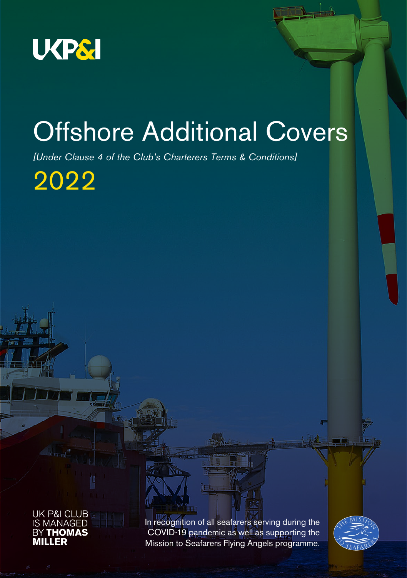

# Offshore Additional Covers

*[Under Clause 4 of the Club's Charterers Terms & Conditions]* 

2022



In recognition of all seafarers serving during the COVID-19 pandemic as well as supporting the Mission to Seafarers Flying Angels programme.

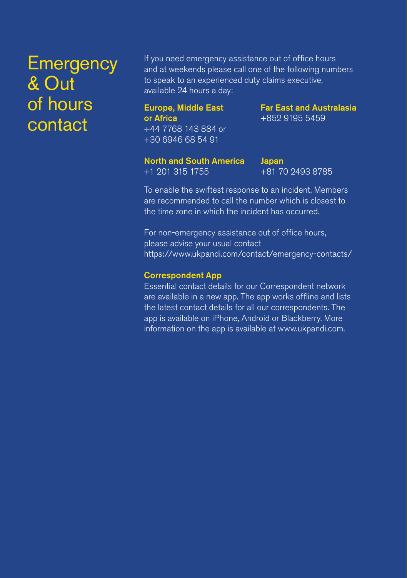## **Emergency** & Out of hours contact

If you need emergency assistance out of office hours and at weekends please call one of the following numbers to speak to an experienced duty claims executive, available 24 hours a day:

### Europe, Middle East or Africa +44 7768 143 884 or +30 6946 68 54 91

Far East and Australasia +852 9195 5459

### North and South America

+1 201 315 1755

Japan +81 70 2493 8785

To enable the swiftest response to an incident, Members are recommended to call the number which is closest to the time zone in which the incident has occurred.

For non-emergency assistance out of office hours, please advise your usual contact https://www.ukpandi.com/contact/emergency-contacts/

#### Correspondent App

Essential contact details for our Correspondent network are available in a new app. The app works offline and lists the latest contact details for all our correspondents. The app is available on iPhone, Android or Blackberry. More information on the app is available at www.ukpandi.com.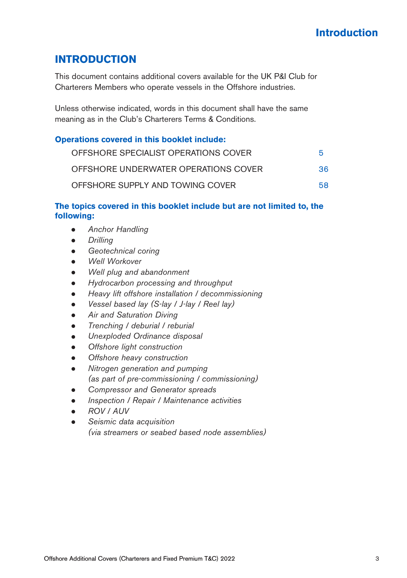### **INTRODUCTION**

This document contains additional covers available for the UK P&I Club for Charterers Members who operate vessels in the Offshore industries.

Unless otherwise indicated, words in this document shall have the same meaning as in the Club's Charterers Terms & Conditions.

### **Operations covered in this booklet include:**

| OFFSHORE SPECIALIST OPERATIONS COVER | 5   |
|--------------------------------------|-----|
| OFFSHORE UNDERWATER OPERATIONS COVER | 36. |
| OFFSHORE SUPPLY AND TOWING COVER     | 58. |

### **The topics covered in this booklet include but are not limited to, the following:**

- *Anchor Handling*
- *Drilling*
- *Geotechnical coring*
- *Well Workover*
- *Well plug and abandonment*
- *Hydrocarbon processing and throughput*
- *Heavy lift offshore installation / decommissioning*
- *Vessel based lay (S-lay / J-lay / Reel lay)*
- *Air and Saturation Diving*
- *Trenching / deburial / reburial*
- *Unexploded Ordinance disposal*
- *Offshore light construction*
- *Offshore heavy construction*
- *Nitrogen generation and pumping (as part of pre-commissioning / commissioning)*
- *Compressor and Generator spreads*
- *Inspection / Repair / Maintenance activities*
- *ROV / AUV*
- *Seismic data acquisition (via streamers or seabed based node assemblies)*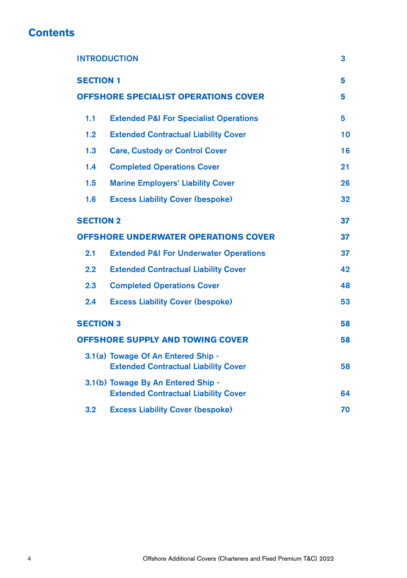### **Contents**

| <b>INTRODUCTION</b>                         |                                                                                   | 3  |
|---------------------------------------------|-----------------------------------------------------------------------------------|----|
| <b>SECTION 1</b>                            |                                                                                   | 5  |
| <b>OFFSHORE SPECIALIST OPERATIONS COVER</b> |                                                                                   | 5  |
| 1.1                                         | <b>Extended P&amp;I For Specialist Operations</b>                                 | 5  |
| 1.2                                         | <b>Extended Contractual Liability Cover</b>                                       | 10 |
| 1.3                                         | <b>Care, Custody or Control Cover</b>                                             | 16 |
| 1.4                                         | <b>Completed Operations Cover</b>                                                 | 21 |
| 1.5                                         | <b>Marine Employers' Liability Cover</b>                                          | 26 |
| 1.6                                         | <b>Excess Liability Cover (bespoke)</b>                                           | 32 |
| <b>SECTION 2</b>                            |                                                                                   | 37 |
| <b>OFFSHORE UNDERWATER OPERATIONS COVER</b> |                                                                                   | 37 |
| 2.1                                         | <b>Extended P&amp;I For Underwater Operations</b>                                 | 37 |
| 2.2                                         | <b>Extended Contractual Liability Cover</b>                                       | 42 |
| 2.3                                         | <b>Completed Operations Cover</b>                                                 | 48 |
| 2.4                                         | <b>Excess Liability Cover (bespoke)</b>                                           | 53 |
| <b>SECTION 3</b>                            |                                                                                   | 58 |
| <b>OFFSHORE SUPPLY AND TOWING COVER</b>     |                                                                                   | 58 |
|                                             | 3.1(a) Towage Of An Entered Ship -<br><b>Extended Contractual Liability Cover</b> | 58 |
|                                             | 3.1(b) Towage By An Entered Ship -<br><b>Extended Contractual Liability Cover</b> | 64 |
| 3.2                                         | <b>Excess Liability Cover (bespoke)</b>                                           | 70 |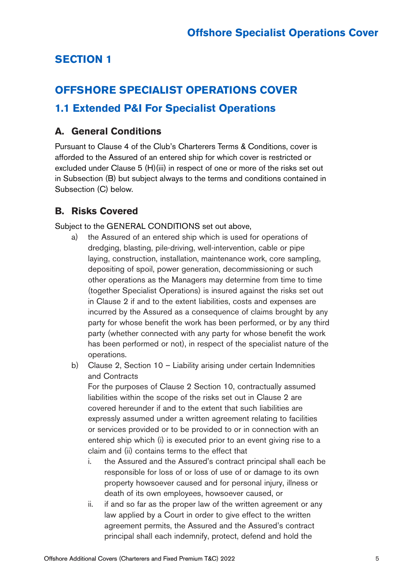### **SECTION 1**

### **OFFSHORE SPECIALIST OPERATIONS COVER**

### **1.1 Extended P&I For Specialist Operations**

### **A. General Conditions**

Pursuant to Clause 4 of the Club's Charterers Terms & Conditions, cover is afforded to the Assured of an entered ship for which cover is restricted or excluded under Clause 5 (H)(iii) in respect of one or more of the risks set out in Subsection (B) but subject always to the terms and conditions contained in Subsection (C) below.

### **B. Risks Covered**

Subject to the GENERAL CONDITIONS set out above,

- a) the Assured of an entered ship which is used for operations of dredging, blasting, pile-driving, well-intervention, cable or pipe laying, construction, installation, maintenance work, core sampling, depositing of spoil, power generation, decommissioning or such other operations as the Managers may determine from time to time (together Specialist Operations) is insured against the risks set out in Clause 2 if and to the extent liabilities, costs and expenses are incurred by the Assured as a consequence of claims brought by any party for whose benefit the work has been performed, or by any third party (whether connected with any party for whose benefit the work has been performed or not), in respect of the specialist nature of the operations.
- b) Clause 2, Section 10 Liability arising under certain Indemnities and Contracts

For the purposes of Clause 2 Section 10, contractually assumed liabilities within the scope of the risks set out in Clause 2 are covered hereunder if and to the extent that such liabilities are expressly assumed under a written agreement relating to facilities or services provided or to be provided to or in connection with an entered ship which (i) is executed prior to an event giving rise to a claim and (ii) contains terms to the effect that

- i. the Assured and the Assured's contract principal shall each be responsible for loss of or loss of use of or damage to its own property howsoever caused and for personal injury, illness or death of its own employees, howsoever caused, or
- ii. if and so far as the proper law of the written agreement or any law applied by a Court in order to give effect to the written agreement permits, the Assured and the Assured's contract principal shall each indemnify, protect, defend and hold the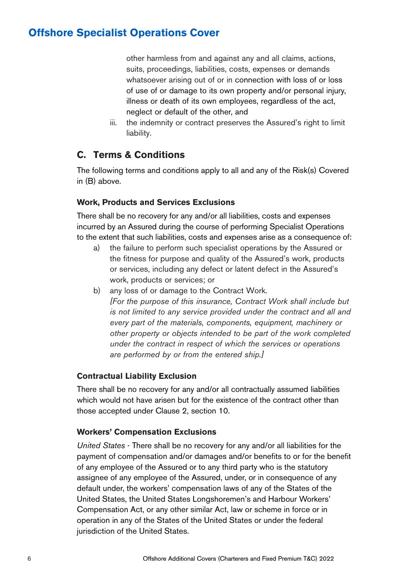other harmless from and against any and all claims, actions, suits, proceedings, liabilities, costs, expenses or demands whatsoever arising out of or in connection with loss of or loss of use of or damage to its own property and/or personal injury, illness or death of its own employees, regardless of the act, neglect or default of the other, and

iii. the indemnity or contract preserves the Assured's right to limit liability.

### **C. Terms & Conditions**

The following terms and conditions apply to all and any of the Risk(s) Covered in (B) above.

#### **Work, Products and Services Exclusions**

There shall be no recovery for any and/or all liabilities, costs and expenses incurred by an Assured during the course of performing Specialist Operations to the extent that such liabilities, costs and expenses arise as a consequence of:

- a) the failure to perform such specialist operations by the Assured or the fitness for purpose and quality of the Assured's work, products or services, including any defect or latent defect in the Assured's work, products or services; or
- b) any loss of or damage to the Contract Work. *[For the purpose of this insurance, Contract Work shall include but is not limited to any service provided under the contract and all and every part of the materials, components, equipment, machinery or other property or objects intended to be part of the work completed under the contract in respect of which the services or operations are performed by or from the entered ship.]*

### **Contractual Liability Exclusion**

There shall be no recovery for any and/or all contractually assumed liabilities which would not have arisen but for the existence of the contract other than those accepted under Clause 2, section 10.

#### **Workers' Compensation Exclusions**

*United States* - There shall be no recovery for any and/or all liabilities for the payment of compensation and/or damages and/or benefits to or for the benefit of any employee of the Assured or to any third party who is the statutory assignee of any employee of the Assured, under, or in consequence of any default under, the workers' compensation laws of any of the States of the United States, the United States Longshoremen's and Harbour Workers' Compensation Act, or any other similar Act, law or scheme in force or in operation in any of the States of the United States or under the federal jurisdiction of the United States.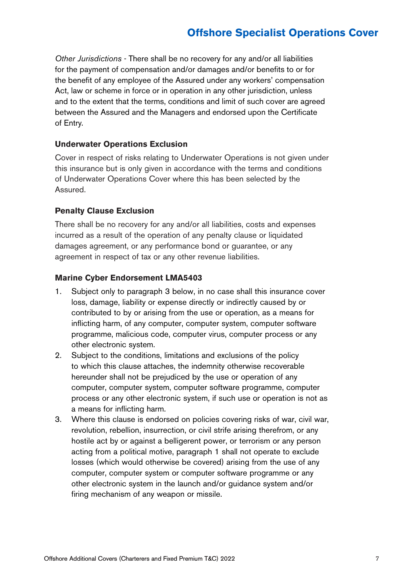*Other Jurisdictions* - There shall be no recovery for any and/or all liabilities for the payment of compensation and/or damages and/or benefits to or for the benefit of any employee of the Assured under any workers' compensation Act, law or scheme in force or in operation in any other jurisdiction, unless and to the extent that the terms, conditions and limit of such cover are agreed between the Assured and the Managers and endorsed upon the Certificate of Entry.

#### **Underwater Operations Exclusion**

Cover in respect of risks relating to Underwater Operations is not given under this insurance but is only given in accordance with the terms and conditions of Underwater Operations Cover where this has been selected by the Assured.

#### **Penalty Clause Exclusion**

There shall be no recovery for any and/or all liabilities, costs and expenses incurred as a result of the operation of any penalty clause or liquidated damages agreement, or any performance bond or guarantee, or any agreement in respect of tax or any other revenue liabilities.

#### **Marine Cyber Endorsement LMA5403**

- 1. Subject only to paragraph 3 below, in no case shall this insurance cover loss, damage, liability or expense directly or indirectly caused by or contributed to by or arising from the use or operation, as a means for inflicting harm, of any computer, computer system, computer software programme, malicious code, computer virus, computer process or any other electronic system.
- 2. Subject to the conditions, limitations and exclusions of the policy to which this clause attaches, the indemnity otherwise recoverable hereunder shall not be prejudiced by the use or operation of any computer, computer system, computer software programme, computer process or any other electronic system, if such use or operation is not as a means for inflicting harm.
- 3. Where this clause is endorsed on policies covering risks of war, civil war, revolution, rebellion, insurrection, or civil strife arising therefrom, or any hostile act by or against a belligerent power, or terrorism or any person acting from a political motive, paragraph 1 shall not operate to exclude losses (which would otherwise be covered) arising from the use of any computer, computer system or computer software programme or any other electronic system in the launch and/or guidance system and/or firing mechanism of any weapon or missile.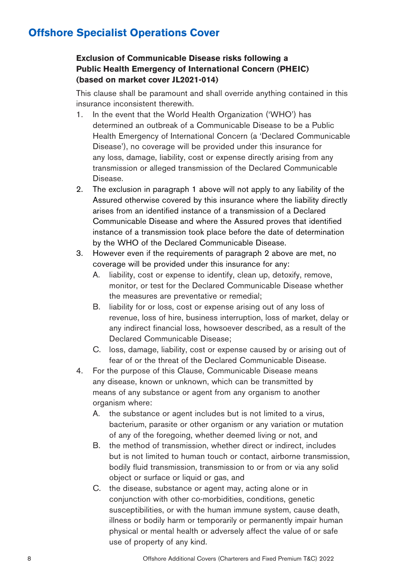### **Exclusion of Communicable Disease risks following a Public Health Emergency of International Concern (PHEIC) (based on market cover JL2021-014)**

This clause shall be paramount and shall override anything contained in this insurance inconsistent therewith.

- 1. In the event that the World Health Organization ('WHO') has determined an outbreak of a Communicable Disease to be a Public Health Emergency of International Concern (a 'Declared Communicable Disease'), no coverage will be provided under this insurance for any loss, damage, liability, cost or expense directly arising from any transmission or alleged transmission of the Declared Communicable Disease.
- 2. The exclusion in paragraph 1 above will not apply to any liability of the Assured otherwise covered by this insurance where the liability directly arises from an identified instance of a transmission of a Declared Communicable Disease and where the Assured proves that identified instance of a transmission took place before the date of determination by the WHO of the Declared Communicable Disease.
- 3. However even if the requirements of paragraph 2 above are met, no coverage will be provided under this insurance for any:
	- A. liability, cost or expense to identify, clean up, detoxify, remove, monitor, or test for the Declared Communicable Disease whether the measures are preventative or remedial;
	- B. liability for or loss, cost or expense arising out of any loss of revenue, loss of hire, business interruption, loss of market, delay or any indirect financial loss, howsoever described, as a result of the Declared Communicable Disease;
	- C. loss, damage, liability, cost or expense caused by or arising out of fear of or the threat of the Declared Communicable Disease.
- 4. For the purpose of this Clause, Communicable Disease means any disease, known or unknown, which can be transmitted by means of any substance or agent from any organism to another organism where:
	- A. the substance or agent includes but is not limited to a virus, bacterium, parasite or other organism or any variation or mutation of any of the foregoing, whether deemed living or not, and
	- B. the method of transmission, whether direct or indirect, includes but is not limited to human touch or contact, airborne transmission, bodily fluid transmission, transmission to or from or via any solid object or surface or liquid or gas, and
	- C. the disease, substance or agent may, acting alone or in conjunction with other co-morbidities, conditions, genetic susceptibilities, or with the human immune system, cause death, illness or bodily harm or temporarily or permanently impair human physical or mental health or adversely affect the value of or safe use of property of any kind.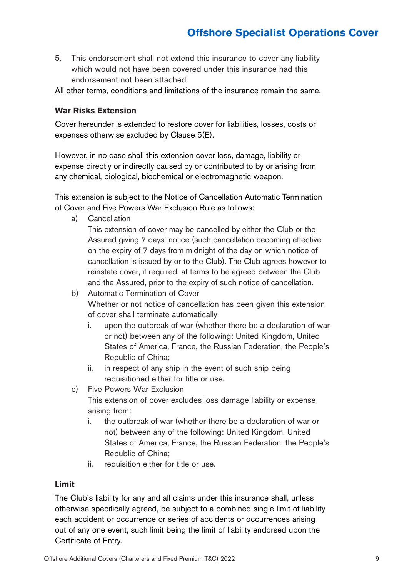5. This endorsement shall not extend this insurance to cover any liability which would not have been covered under this insurance had this endorsement not been attached.

All other terms, conditions and limitations of the insurance remain the same.

#### **War Risks Extension**

Cover hereunder is extended to restore cover for liabilities, losses, costs or expenses otherwise excluded by Clause 5(E).

However, in no case shall this extension cover loss, damage, liability or expense directly or indirectly caused by or contributed to by or arising from any chemical, biological, biochemical or electromagnetic weapon.

This extension is subject to the Notice of Cancellation Automatic Termination of Cover and Five Powers War Exclusion Rule as follows:

a) Cancellation

This extension of cover may be cancelled by either the Club or the Assured giving 7 days' notice (such cancellation becoming effective on the expiry of 7 days from midnight of the day on which notice of cancellation is issued by or to the Club). The Club agrees however to reinstate cover, if required, at terms to be agreed between the Club and the Assured, prior to the expiry of such notice of cancellation.

- b) Automatic Termination of Cover Whether or not notice of cancellation has been given this extension of cover shall terminate automatically
	- i. upon the outbreak of war (whether there be a declaration of war or not) between any of the following: United Kingdom, United States of America, France, the Russian Federation, the People's Republic of China;
	- ii. in respect of any ship in the event of such ship being requisitioned either for title or use.
- c) Five Powers War Exclusion This extension of cover excludes loss damage liability or expense arising from:
	- i. the outbreak of war (whether there be a declaration of war or not) between any of the following: United Kingdom, United States of America, France, the Russian Federation, the People's Republic of China;
	- ii. requisition either for title or use.

#### **Limit**

The Club's liability for any and all claims under this insurance shall, unless otherwise specifically agreed, be subject to a combined single limit of liability each accident or occurrence or series of accidents or occurrences arising out of any one event, such limit being the limit of liability endorsed upon the Certificate of Entry.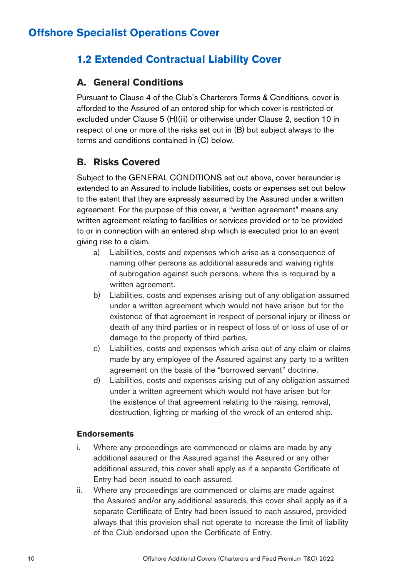### **1.2 Extended Contractual Liability Cover**

### **A. General Conditions**

Pursuant to Clause 4 of the Club's Charterers Terms & Conditions, cover is afforded to the Assured of an entered ship for which cover is restricted or excluded under Clause 5 (H)(iii) or otherwise under Clause 2, section 10 in respect of one or more of the risks set out in (B) but subject always to the terms and conditions contained in (C) below.

### **B. Risks Covered**

Subject to the GENERAL CONDITIONS set out above, cover hereunder is extended to an Assured to include liabilities, costs or expenses set out below to the extent that they are expressly assumed by the Assured under a written agreement. For the purpose of this cover, a "written agreement" means any written agreement relating to facilities or services provided or to be provided to or in connection with an entered ship which is executed prior to an event giving rise to a claim.

- a) Liabilities, costs and expenses which arise as a consequence of naming other persons as additional assureds and waiving rights of subrogation against such persons, where this is required by a written agreement.
- b) Liabilities, costs and expenses arising out of any obligation assumed under a written agreement which would not have arisen but for the existence of that agreement in respect of personal injury or illness or death of any third parties or in respect of loss of or loss of use of or damage to the property of third parties.
- c) Liabilities, costs and expenses which arise out of any claim or claims made by any employee of the Assured against any party to a written agreement on the basis of the "borrowed servant" doctrine.
- d) Liabilities, costs and expenses arising out of any obligation assumed under a written agreement which would not have arisen but for the existence of that agreement relating to the raising, removal, destruction, lighting or marking of the wreck of an entered ship.

### **Endorsements**

- i. Where any proceedings are commenced or claims are made by any additional assured or the Assured against the Assured or any other additional assured, this cover shall apply as if a separate Certificate of Entry had been issued to each assured.
- ii. Where any proceedings are commenced or claims are made against the Assured and/or any additional assureds, this cover shall apply as if a separate Certificate of Entry had been issued to each assured, provided always that this provision shall not operate to increase the limit of liability of the Club endorsed upon the Certificate of Entry.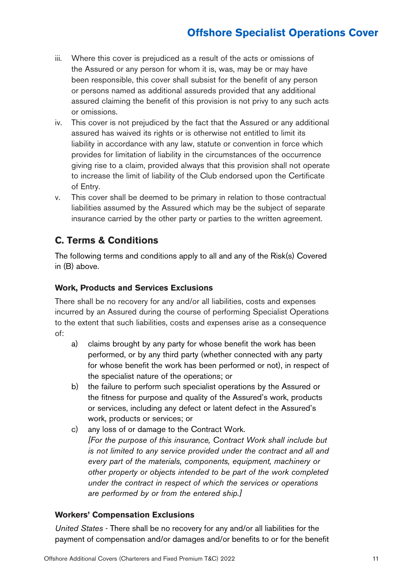- iii. Where this cover is prejudiced as a result of the acts or omissions of the Assured or any person for whom it is, was, may be or may have been responsible, this cover shall subsist for the benefit of any person or persons named as additional assureds provided that any additional assured claiming the benefit of this provision is not privy to any such acts or omissions.
- iv. This cover is not prejudiced by the fact that the Assured or any additional assured has waived its rights or is otherwise not entitled to limit its liability in accordance with any law, statute or convention in force which provides for limitation of liability in the circumstances of the occurrence giving rise to a claim, provided always that this provision shall not operate to increase the limit of liability of the Club endorsed upon the Certificate of Entry.
- v. This cover shall be deemed to be primary in relation to those contractual liabilities assumed by the Assured which may be the subject of separate insurance carried by the other party or parties to the written agreement.

### **C. Terms & Conditions**

The following terms and conditions apply to all and any of the Risk(s) Covered in (B) above.

### **Work, Products and Services Exclusions**

There shall be no recovery for any and/or all liabilities, costs and expenses incurred by an Assured during the course of performing Specialist Operations to the extent that such liabilities, costs and expenses arise as a consequence of:

- a) claims brought by any party for whose benefit the work has been performed, or by any third party (whether connected with any party for whose benefit the work has been performed or not), in respect of the specialist nature of the operations; or
- b) the failure to perform such specialist operations by the Assured or the fitness for purpose and quality of the Assured's work, products or services, including any defect or latent defect in the Assured's work, products or services; or
- c) any loss of or damage to the Contract Work. *[For the purpose of this insurance, Contract Work shall include but is not limited to any service provided under the contract and all and every part of the materials, components, equipment, machinery or other property or objects intended to be part of the work completed under the contract in respect of which the services or operations are performed by or from the entered ship.]*

### **Workers' Compensation Exclusions**

*United States* - There shall be no recovery for any and/or all liabilities for the payment of compensation and/or damages and/or benefits to or for the benefit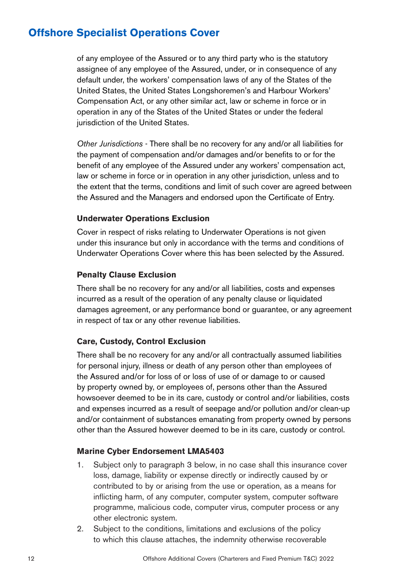of any employee of the Assured or to any third party who is the statutory assignee of any employee of the Assured, under, or in consequence of any default under, the workers' compensation laws of any of the States of the United States, the United States Longshoremen's and Harbour Workers' Compensation Act, or any other similar act, law or scheme in force or in operation in any of the States of the United States or under the federal jurisdiction of the United States.

*Other Jurisdictions* - There shall be no recovery for any and/or all liabilities for the payment of compensation and/or damages and/or benefits to or for the benefit of any employee of the Assured under any workers' compensation act, law or scheme in force or in operation in any other jurisdiction, unless and to the extent that the terms, conditions and limit of such cover are agreed between the Assured and the Managers and endorsed upon the Certificate of Entry.

#### **Underwater Operations Exclusion**

Cover in respect of risks relating to Underwater Operations is not given under this insurance but only in accordance with the terms and conditions of Underwater Operations Cover where this has been selected by the Assured.

#### **Penalty Clause Exclusion**

There shall be no recovery for any and/or all liabilities, costs and expenses incurred as a result of the operation of any penalty clause or liquidated damages agreement, or any performance bond or guarantee, or any agreement in respect of tax or any other revenue liabilities.

#### **Care, Custody, Control Exclusion**

There shall be no recovery for any and/or all contractually assumed liabilities for personal injury, illness or death of any person other than employees of the Assured and/or for loss of or loss of use of or damage to or caused by property owned by, or employees of, persons other than the Assured howsoever deemed to be in its care, custody or control and/or liabilities, costs and expenses incurred as a result of seepage and/or pollution and/or clean-up and/or containment of substances emanating from property owned by persons other than the Assured however deemed to be in its care, custody or control.

#### **Marine Cyber Endorsement LMA5403**

- 1. Subject only to paragraph 3 below, in no case shall this insurance cover loss, damage, liability or expense directly or indirectly caused by or contributed to by or arising from the use or operation, as a means for inflicting harm, of any computer, computer system, computer software programme, malicious code, computer virus, computer process or any other electronic system.
- 2. Subject to the conditions, limitations and exclusions of the policy to which this clause attaches, the indemnity otherwise recoverable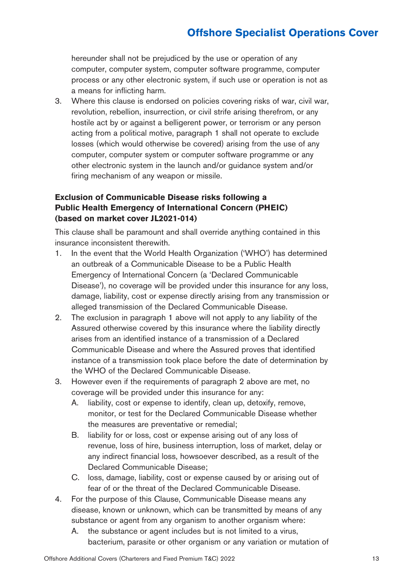hereunder shall not be prejudiced by the use or operation of any computer, computer system, computer software programme, computer process or any other electronic system, if such use or operation is not as a means for inflicting harm.

3. Where this clause is endorsed on policies covering risks of war, civil war, revolution, rebellion, insurrection, or civil strife arising therefrom, or any hostile act by or against a belligerent power, or terrorism or any person acting from a political motive, paragraph 1 shall not operate to exclude losses (which would otherwise be covered) arising from the use of any computer, computer system or computer software programme or any other electronic system in the launch and/or guidance system and/or firing mechanism of any weapon or missile.

### **Exclusion of Communicable Disease risks following a Public Health Emergency of International Concern (PHEIC) (based on market cover JL2021-014)**

This clause shall be paramount and shall override anything contained in this insurance inconsistent therewith.

- 1. In the event that the World Health Organization ('WHO') has determined an outbreak of a Communicable Disease to be a Public Health Emergency of International Concern (a 'Declared Communicable Disease'), no coverage will be provided under this insurance for any loss, damage, liability, cost or expense directly arising from any transmission or alleged transmission of the Declared Communicable Disease.
- 2. The exclusion in paragraph 1 above will not apply to any liability of the Assured otherwise covered by this insurance where the liability directly arises from an identified instance of a transmission of a Declared Communicable Disease and where the Assured proves that identified instance of a transmission took place before the date of determination by the WHO of the Declared Communicable Disease.
- 3. However even if the requirements of paragraph 2 above are met, no coverage will be provided under this insurance for any:
	- A. liability, cost or expense to identify, clean up, detoxify, remove, monitor, or test for the Declared Communicable Disease whether the measures are preventative or remedial;
	- B. liability for or loss, cost or expense arising out of any loss of revenue, loss of hire, business interruption, loss of market, delay or any indirect financial loss, howsoever described, as a result of the Declared Communicable Disease;
	- C. loss, damage, liability, cost or expense caused by or arising out of fear of or the threat of the Declared Communicable Disease.
- 4. For the purpose of this Clause, Communicable Disease means any disease, known or unknown, which can be transmitted by means of any substance or agent from any organism to another organism where:
	- A. the substance or agent includes but is not limited to a virus, bacterium, parasite or other organism or any variation or mutation of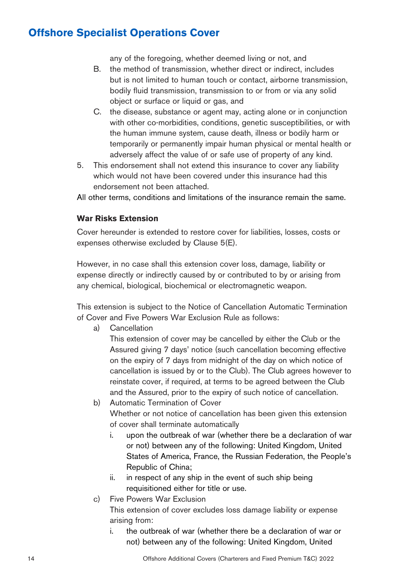any of the foregoing, whether deemed living or not, and

- B. the method of transmission, whether direct or indirect, includes but is not limited to human touch or contact, airborne transmission, bodily fluid transmission, transmission to or from or via any solid object or surface or liquid or gas, and
- C. the disease, substance or agent may, acting alone or in conjunction with other co-morbidities, conditions, genetic susceptibilities, or with the human immune system, cause death, illness or bodily harm or temporarily or permanently impair human physical or mental health or adversely affect the value of or safe use of property of any kind.
- 5. This endorsement shall not extend this insurance to cover any liability which would not have been covered under this insurance had this endorsement not been attached.

All other terms, conditions and limitations of the insurance remain the same.

### **War Risks Extension**

Cover hereunder is extended to restore cover for liabilities, losses, costs or expenses otherwise excluded by Clause 5(E).

However, in no case shall this extension cover loss, damage, liability or expense directly or indirectly caused by or contributed to by or arising from any chemical, biological, biochemical or electromagnetic weapon.

This extension is subject to the Notice of Cancellation Automatic Termination of Cover and Five Powers War Exclusion Rule as follows:

a) Cancellation

This extension of cover may be cancelled by either the Club or the Assured giving 7 days' notice (such cancellation becoming effective on the expiry of 7 days from midnight of the day on which notice of cancellation is issued by or to the Club). The Club agrees however to reinstate cover, if required, at terms to be agreed between the Club and the Assured, prior to the expiry of such notice of cancellation.

- b) Automatic Termination of Cover Whether or not notice of cancellation has been given this extension of cover shall terminate automatically
	- i. upon the outbreak of war (whether there be a declaration of war or not) between any of the following: United Kingdom, United States of America, France, the Russian Federation, the People's Republic of China;
	- ii. in respect of any ship in the event of such ship being requisitioned either for title or use.
- c) Five Powers War Exclusion

This extension of cover excludes loss damage liability or expense arising from:

i. the outbreak of war (whether there be a declaration of war or not) between any of the following: United Kingdom, United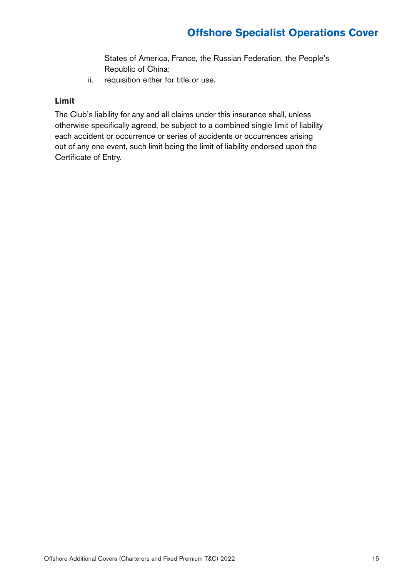States of America, France, the Russian Federation, the People's Republic of China;

ii. requisition either for title or use.

### **Limit**

The Club's liability for any and all claims under this insurance shall, unless otherwise specifically agreed, be subject to a combined single limit of liability each accident or occurrence or series of accidents or occurrences arising out of any one event, such limit being the limit of liability endorsed upon the Certificate of Entry.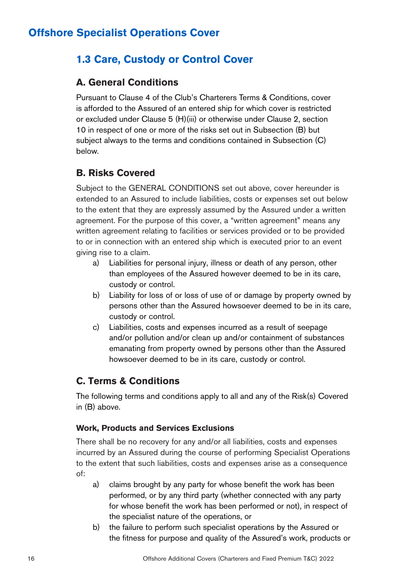### **1.3 Care, Custody or Control Cover**

### **A. General Conditions**

Pursuant to Clause 4 of the Club's Charterers Terms & Conditions, cover is afforded to the Assured of an entered ship for which cover is restricted or excluded under Clause 5 (H)(iii) or otherwise under Clause 2, section 10 in respect of one or more of the risks set out in Subsection (B) but subject always to the terms and conditions contained in Subsection (C) below.

### **B. Risks Covered**

Subject to the GENERAL CONDITIONS set out above, cover hereunder is extended to an Assured to include liabilities, costs or expenses set out below to the extent that they are expressly assumed by the Assured under a written agreement. For the purpose of this cover, a "written agreement" means any written agreement relating to facilities or services provided or to be provided to or in connection with an entered ship which is executed prior to an event giving rise to a claim.

- a) Liabilities for personal injury, illness or death of any person, other than employees of the Assured however deemed to be in its care, custody or control.
- b) Liability for loss of or loss of use of or damage by property owned by persons other than the Assured howsoever deemed to be in its care, custody or control.
- c) Liabilities, costs and expenses incurred as a result of seepage and/or pollution and/or clean up and/or containment of substances emanating from property owned by persons other than the Assured howsoever deemed to be in its care, custody or control.

### **C. Terms & Conditions**

The following terms and conditions apply to all and any of the Risk(s) Covered in (B) above.

### **Work, Products and Services Exclusions**

There shall be no recovery for any and/or all liabilities, costs and expenses incurred by an Assured during the course of performing Specialist Operations to the extent that such liabilities, costs and expenses arise as a consequence of:

- a) claims brought by any party for whose benefit the work has been performed, or by any third party (whether connected with any party for whose benefit the work has been performed or not), in respect of the specialist nature of the operations, or
- b) the failure to perform such specialist operations by the Assured or the fitness for purpose and quality of the Assured's work, products or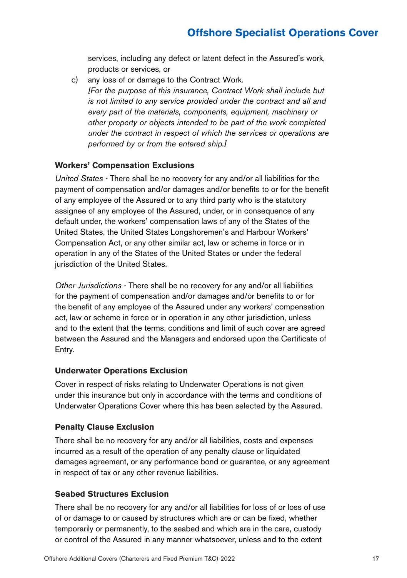services, including any defect or latent defect in the Assured's work, products or services, or

c) any loss of or damage to the Contract Work. *[For the purpose of this insurance, Contract Work shall include but is not limited to any service provided under the contract and all and every part of the materials, components, equipment, machinery or other property or objects intended to be part of the work completed under the contract in respect of which the services or operations are performed by or from the entered ship.]*

### **Workers' Compensation Exclusions**

*United States* - There shall be no recovery for any and/or all liabilities for the payment of compensation and/or damages and/or benefits to or for the benefit of any employee of the Assured or to any third party who is the statutory assignee of any employee of the Assured, under, or in consequence of any default under, the workers' compensation laws of any of the States of the United States, the United States Longshoremen's and Harbour Workers' Compensation Act, or any other similar act, law or scheme in force or in operation in any of the States of the United States or under the federal jurisdiction of the United States.

*Other Jurisdictions* - There shall be no recovery for any and/or all liabilities for the payment of compensation and/or damages and/or benefits to or for the benefit of any employee of the Assured under any workers' compensation act, law or scheme in force or in operation in any other jurisdiction, unless and to the extent that the terms, conditions and limit of such cover are agreed between the Assured and the Managers and endorsed upon the Certificate of Entry.

### **Underwater Operations Exclusion**

Cover in respect of risks relating to Underwater Operations is not given under this insurance but only in accordance with the terms and conditions of Underwater Operations Cover where this has been selected by the Assured.

### **Penalty Clause Exclusion**

There shall be no recovery for any and/or all liabilities, costs and expenses incurred as a result of the operation of any penalty clause or liquidated damages agreement, or any performance bond or guarantee, or any agreement in respect of tax or any other revenue liabilities.

### **Seabed Structures Exclusion**

There shall be no recovery for any and/or all liabilities for loss of or loss of use of or damage to or caused by structures which are or can be fixed, whether temporarily or permanently, to the seabed and which are in the care, custody or control of the Assured in any manner whatsoever, unless and to the extent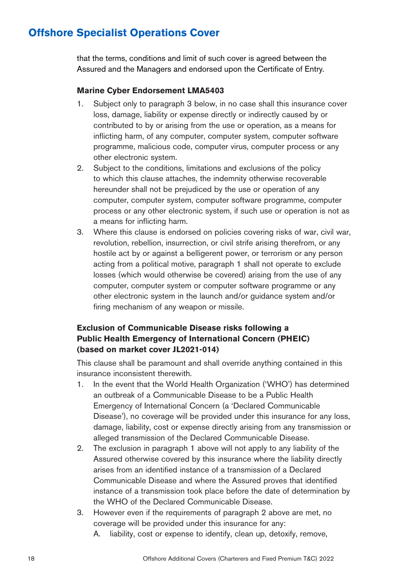that the terms, conditions and limit of such cover is agreed between the Assured and the Managers and endorsed upon the Certificate of Entry.

#### **Marine Cyber Endorsement LMA5403**

- 1. Subject only to paragraph 3 below, in no case shall this insurance cover loss, damage, liability or expense directly or indirectly caused by or contributed to by or arising from the use or operation, as a means for inflicting harm, of any computer, computer system, computer software programme, malicious code, computer virus, computer process or any other electronic system.
- 2. Subject to the conditions, limitations and exclusions of the policy to which this clause attaches, the indemnity otherwise recoverable hereunder shall not be prejudiced by the use or operation of any computer, computer system, computer software programme, computer process or any other electronic system, if such use or operation is not as a means for inflicting harm.
- 3. Where this clause is endorsed on policies covering risks of war, civil war, revolution, rebellion, insurrection, or civil strife arising therefrom, or any hostile act by or against a belligerent power, or terrorism or any person acting from a political motive, paragraph 1 shall not operate to exclude losses (which would otherwise be covered) arising from the use of any computer, computer system or computer software programme or any other electronic system in the launch and/or guidance system and/or firing mechanism of any weapon or missile.

### **Exclusion of Communicable Disease risks following a Public Health Emergency of International Concern (PHEIC) (based on market cover JL2021-014)**

This clause shall be paramount and shall override anything contained in this insurance inconsistent therewith.

- 1. In the event that the World Health Organization ('WHO') has determined an outbreak of a Communicable Disease to be a Public Health Emergency of International Concern (a 'Declared Communicable Disease'), no coverage will be provided under this insurance for any loss, damage, liability, cost or expense directly arising from any transmission or alleged transmission of the Declared Communicable Disease.
- 2. The exclusion in paragraph 1 above will not apply to any liability of the Assured otherwise covered by this insurance where the liability directly arises from an identified instance of a transmission of a Declared Communicable Disease and where the Assured proves that identified instance of a transmission took place before the date of determination by the WHO of the Declared Communicable Disease.
- 3. However even if the requirements of paragraph 2 above are met, no coverage will be provided under this insurance for any:
	- A. liability, cost or expense to identify, clean up, detoxify, remove,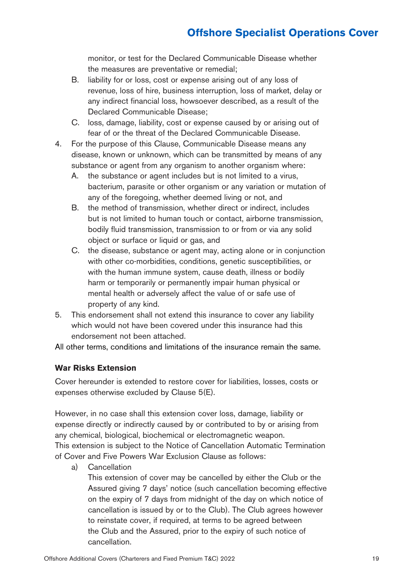monitor, or test for the Declared Communicable Disease whether the measures are preventative or remedial;

- B. liability for or loss, cost or expense arising out of any loss of revenue, loss of hire, business interruption, loss of market, delay or any indirect financial loss, howsoever described, as a result of the Declared Communicable Disease;
- C. loss, damage, liability, cost or expense caused by or arising out of fear of or the threat of the Declared Communicable Disease.
- 4. For the purpose of this Clause, Communicable Disease means any disease, known or unknown, which can be transmitted by means of any substance or agent from any organism to another organism where:
	- A. the substance or agent includes but is not limited to a virus, bacterium, parasite or other organism or any variation or mutation of any of the foregoing, whether deemed living or not, and
	- B. the method of transmission, whether direct or indirect, includes but is not limited to human touch or contact, airborne transmission, bodily fluid transmission, transmission to or from or via any solid object or surface or liquid or gas, and
	- C. the disease, substance or agent may, acting alone or in conjunction with other co-morbidities, conditions, genetic susceptibilities, or with the human immune system, cause death, illness or bodily harm or temporarily or permanently impair human physical or mental health or adversely affect the value of or safe use of property of any kind.
- 5. This endorsement shall not extend this insurance to cover any liability which would not have been covered under this insurance had this endorsement not been attached.

All other terms, conditions and limitations of the insurance remain the same.

### **War Risks Extension**

Cover hereunder is extended to restore cover for liabilities, losses, costs or expenses otherwise excluded by Clause 5(E).

However, in no case shall this extension cover loss, damage, liability or expense directly or indirectly caused by or contributed to by or arising from any chemical, biological, biochemical or electromagnetic weapon. This extension is subject to the Notice of Cancellation Automatic Termination of Cover and Five Powers War Exclusion Clause as follows:

a) Cancellation

This extension of cover may be cancelled by either the Club or the Assured giving 7 days' notice (such cancellation becoming effective on the expiry of 7 days from midnight of the day on which notice of cancellation is issued by or to the Club). The Club agrees however to reinstate cover, if required, at terms to be agreed between the Club and the Assured, prior to the expiry of such notice of cancellation.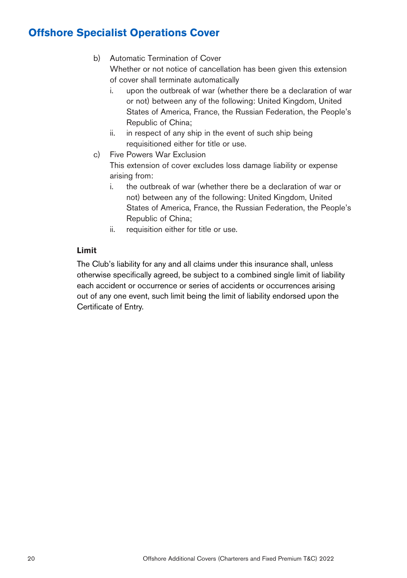- b) Automatic Termination of Cover Whether or not notice of cancellation has been given this extension of cover shall terminate automatically
	- i. upon the outbreak of war (whether there be a declaration of war or not) between any of the following: United Kingdom, United States of America, France, the Russian Federation, the People's Republic of China;
	- ii. in respect of any ship in the event of such ship being requisitioned either for title or use.
- c) Five Powers War Exclusion

This extension of cover excludes loss damage liability or expense arising from:

- i. the outbreak of war (whether there be a declaration of war or not) between any of the following: United Kingdom, United States of America, France, the Russian Federation, the People's Republic of China;
- ii. requisition either for title or use.

### **Limit**

The Club's liability for any and all claims under this insurance shall, unless otherwise specifically agreed, be subject to a combined single limit of liability each accident or occurrence or series of accidents or occurrences arising out of any one event, such limit being the limit of liability endorsed upon the Certificate of Entry.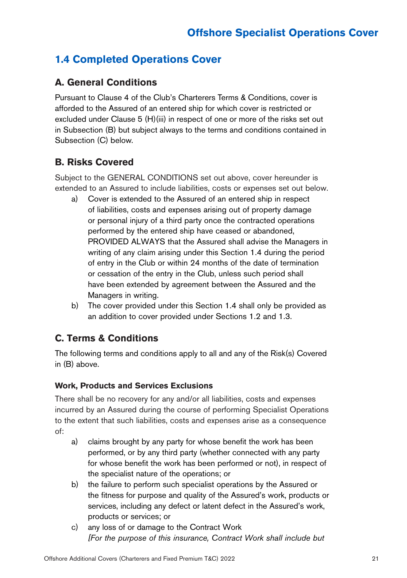### **1.4 Completed Operations Cover**

### **A. General Conditions**

Pursuant to Clause 4 of the Club's Charterers Terms & Conditions, cover is afforded to the Assured of an entered ship for which cover is restricted or excluded under Clause 5 (H)(iii) in respect of one or more of the risks set out in Subsection (B) but subject always to the terms and conditions contained in Subsection (C) below.

### **B. Risks Covered**

Subject to the GENERAL CONDITIONS set out above, cover hereunder is extended to an Assured to include liabilities, costs or expenses set out below.

- a) Cover is extended to the Assured of an entered ship in respect of liabilities, costs and expenses arising out of property damage or personal injury of a third party once the contracted operations performed by the entered ship have ceased or abandoned, PROVIDED ALWAYS that the Assured shall advise the Managers in writing of any claim arising under this Section 1.4 during the period of entry in the Club or within 24 months of the date of termination or cessation of the entry in the Club, unless such period shall have been extended by agreement between the Assured and the Managers in writing.
- b) The cover provided under this Section 1.4 shall only be provided as an addition to cover provided under Sections 1.2 and 1.3.

### **C. Terms & Conditions**

The following terms and conditions apply to all and any of the Risk(s) Covered in (B) above.

### **Work, Products and Services Exclusions**

There shall be no recovery for any and/or all liabilities, costs and expenses incurred by an Assured during the course of performing Specialist Operations to the extent that such liabilities, costs and expenses arise as a consequence of:

- a) claims brought by any party for whose benefit the work has been performed, or by any third party (whether connected with any party for whose benefit the work has been performed or not), in respect of the specialist nature of the operations; or
- b) the failure to perform such specialist operations by the Assured or the fitness for purpose and quality of the Assured's work, products or services, including any defect or latent defect in the Assured's work, products or services; or
- c) any loss of or damage to the Contract Work *[For the purpose of this insurance, Contract Work shall include but*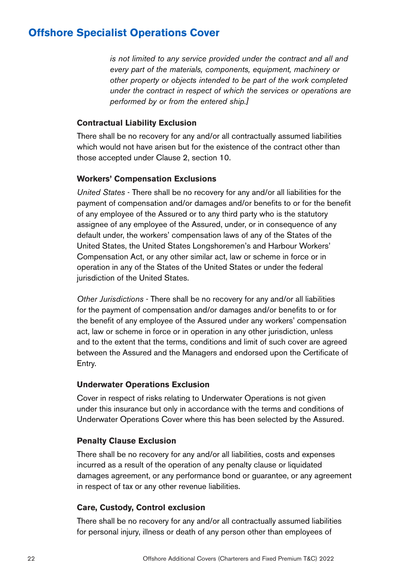*is not limited to any service provided under the contract and all and every part of the materials, components, equipment, machinery or other property or objects intended to be part of the work completed under the contract in respect of which the services or operations are performed by or from the entered ship.]*

#### **Contractual Liability Exclusion**

There shall be no recovery for any and/or all contractually assumed liabilities which would not have arisen but for the existence of the contract other than those accepted under Clause 2, section 10.

#### **Workers' Compensation Exclusions**

*United States* - There shall be no recovery for any and/or all liabilities for the payment of compensation and/or damages and/or benefits to or for the benefit of any employee of the Assured or to any third party who is the statutory assignee of any employee of the Assured, under, or in consequence of any default under, the workers' compensation laws of any of the States of the United States, the United States Longshoremen's and Harbour Workers' Compensation Act, or any other similar act, law or scheme in force or in operation in any of the States of the United States or under the federal jurisdiction of the United States.

*Other Jurisdictions* - There shall be no recovery for any and/or all liabilities for the payment of compensation and/or damages and/or benefits to or for the benefit of any employee of the Assured under any workers' compensation act, law or scheme in force or in operation in any other jurisdiction, unless and to the extent that the terms, conditions and limit of such cover are agreed between the Assured and the Managers and endorsed upon the Certificate of Entry.

#### **Underwater Operations Exclusion**

Cover in respect of risks relating to Underwater Operations is not given under this insurance but only in accordance with the terms and conditions of Underwater Operations Cover where this has been selected by the Assured.

#### **Penalty Clause Exclusion**

There shall be no recovery for any and/or all liabilities, costs and expenses incurred as a result of the operation of any penalty clause or liquidated damages agreement, or any performance bond or guarantee, or any agreement in respect of tax or any other revenue liabilities.

#### **Care, Custody, Control exclusion**

There shall be no recovery for any and/or all contractually assumed liabilities for personal injury, illness or death of any person other than employees of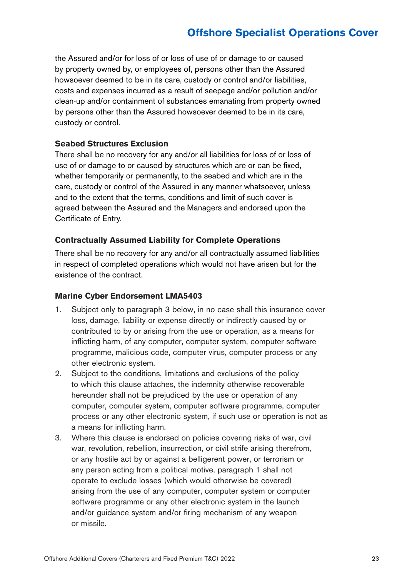the Assured and/or for loss of or loss of use of or damage to or caused by property owned by, or employees of, persons other than the Assured howsoever deemed to be in its care, custody or control and/or liabilities, costs and expenses incurred as a result of seepage and/or pollution and/or clean-up and/or containment of substances emanating from property owned by persons other than the Assured howsoever deemed to be in its care, custody or control.

#### **Seabed Structures Exclusion**

There shall be no recovery for any and/or all liabilities for loss of or loss of use of or damage to or caused by structures which are or can be fixed, whether temporarily or permanently, to the seabed and which are in the care, custody or control of the Assured in any manner whatsoever, unless and to the extent that the terms, conditions and limit of such cover is agreed between the Assured and the Managers and endorsed upon the Certificate of Entry.

#### **Contractually Assumed Liability for Complete Operations**

There shall be no recovery for any and/or all contractually assumed liabilities in respect of completed operations which would not have arisen but for the existence of the contract.

#### **Marine Cyber Endorsement LMA5403**

- 1. Subject only to paragraph 3 below, in no case shall this insurance cover loss, damage, liability or expense directly or indirectly caused by or contributed to by or arising from the use or operation, as a means for inflicting harm, of any computer, computer system, computer software programme, malicious code, computer virus, computer process or any other electronic system.
- 2. Subject to the conditions, limitations and exclusions of the policy to which this clause attaches, the indemnity otherwise recoverable hereunder shall not be prejudiced by the use or operation of any computer, computer system, computer software programme, computer process or any other electronic system, if such use or operation is not as a means for inflicting harm.
- 3. Where this clause is endorsed on policies covering risks of war, civil war, revolution, rebellion, insurrection, or civil strife arising therefrom, or any hostile act by or against a belligerent power, or terrorism or any person acting from a political motive, paragraph 1 shall not operate to exclude losses (which would otherwise be covered) arising from the use of any computer, computer system or computer software programme or any other electronic system in the launch and/or guidance system and/or firing mechanism of any weapon or missile.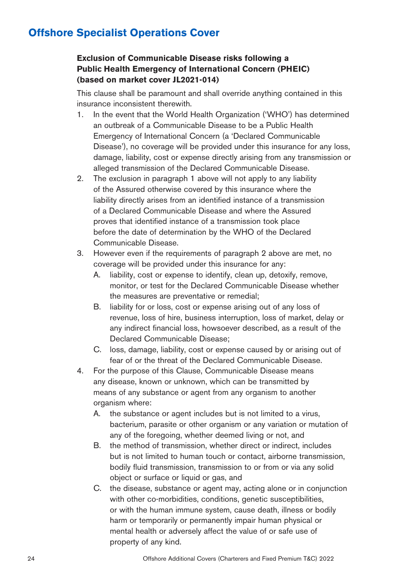### **Exclusion of Communicable Disease risks following a Public Health Emergency of International Concern (PHEIC) (based on market cover JL2021-014)**

This clause shall be paramount and shall override anything contained in this insurance inconsistent therewith.

- 1. In the event that the World Health Organization ('WHO') has determined an outbreak of a Communicable Disease to be a Public Health Emergency of International Concern (a 'Declared Communicable Disease'), no coverage will be provided under this insurance for any loss, damage, liability, cost or expense directly arising from any transmission or alleged transmission of the Declared Communicable Disease.
- 2. The exclusion in paragraph 1 above will not apply to any liability of the Assured otherwise covered by this insurance where the liability directly arises from an identified instance of a transmission of a Declared Communicable Disease and where the Assured proves that identified instance of a transmission took place before the date of determination by the WHO of the Declared Communicable Disease.
- 3. However even if the requirements of paragraph 2 above are met, no coverage will be provided under this insurance for any:
	- A. liability, cost or expense to identify, clean up, detoxify, remove, monitor, or test for the Declared Communicable Disease whether the measures are preventative or remedial;
	- B. liability for or loss, cost or expense arising out of any loss of revenue, loss of hire, business interruption, loss of market, delay or any indirect financial loss, howsoever described, as a result of the Declared Communicable Disease;
	- C. loss, damage, liability, cost or expense caused by or arising out of fear of or the threat of the Declared Communicable Disease.
- 4. For the purpose of this Clause, Communicable Disease means any disease, known or unknown, which can be transmitted by means of any substance or agent from any organism to another organism where:
	- A. the substance or agent includes but is not limited to a virus, bacterium, parasite or other organism or any variation or mutation of any of the foregoing, whether deemed living or not, and
	- B. the method of transmission, whether direct or indirect, includes but is not limited to human touch or contact, airborne transmission, bodily fluid transmission, transmission to or from or via any solid object or surface or liquid or gas, and
	- C. the disease, substance or agent may, acting alone or in conjunction with other co-morbidities, conditions, genetic susceptibilities, or with the human immune system, cause death, illness or bodily harm or temporarily or permanently impair human physical or mental health or adversely affect the value of or safe use of property of any kind.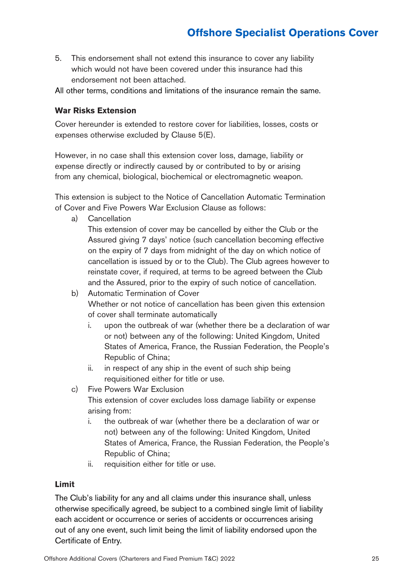5. This endorsement shall not extend this insurance to cover any liability which would not have been covered under this insurance had this endorsement not been attached.

All other terms, conditions and limitations of the insurance remain the same.

#### **War Risks Extension**

Cover hereunder is extended to restore cover for liabilities, losses, costs or expenses otherwise excluded by Clause 5(E).

However, in no case shall this extension cover loss, damage, liability or expense directly or indirectly caused by or contributed to by or arising from any chemical, biological, biochemical or electromagnetic weapon.

This extension is subject to the Notice of Cancellation Automatic Termination of Cover and Five Powers War Exclusion Clause as follows:

a) Cancellation

This extension of cover may be cancelled by either the Club or the Assured giving 7 days' notice (such cancellation becoming effective on the expiry of 7 days from midnight of the day on which notice of cancellation is issued by or to the Club). The Club agrees however to reinstate cover, if required, at terms to be agreed between the Club and the Assured, prior to the expiry of such notice of cancellation.

- b) Automatic Termination of Cover Whether or not notice of cancellation has been given this extension of cover shall terminate automatically
	- i. upon the outbreak of war (whether there be a declaration of war or not) between any of the following: United Kingdom, United States of America, France, the Russian Federation, the People's Republic of China;
	- ii. in respect of any ship in the event of such ship being requisitioned either for title or use.
- c) Five Powers War Exclusion This extension of cover excludes loss damage liability or expense arising from:
	- i. the outbreak of war (whether there be a declaration of war or not) between any of the following: United Kingdom, United States of America, France, the Russian Federation, the People's Republic of China;
	- ii. requisition either for title or use.

#### **Limit**

The Club's liability for any and all claims under this insurance shall, unless otherwise specifically agreed, be subject to a combined single limit of liability each accident or occurrence or series of accidents or occurrences arising out of any one event, such limit being the limit of liability endorsed upon the Certificate of Entry.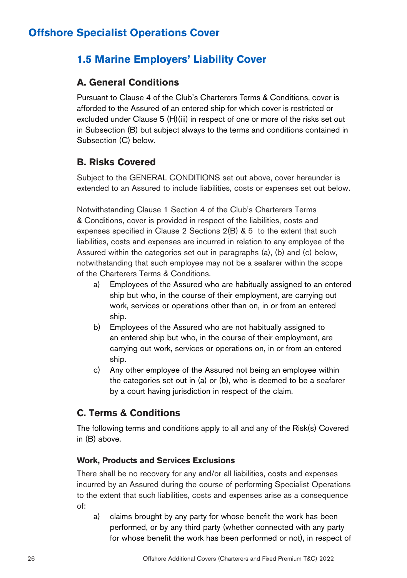### **1.5 Marine Employers' Liability Cover**

### **A. General Conditions**

Pursuant to Clause 4 of the Club's Charterers Terms & Conditions, cover is afforded to the Assured of an entered ship for which cover is restricted or excluded under Clause 5 (H)(iii) in respect of one or more of the risks set out in Subsection (B) but subject always to the terms and conditions contained in Subsection (C) below.

### **B. Risks Covered**

Subject to the GENERAL CONDITIONS set out above, cover hereunder is extended to an Assured to include liabilities, costs or expenses set out below.

Notwithstanding Clause 1 Section 4 of the Club's Charterers Terms & Conditions, cover is provided in respect of the liabilities, costs and expenses specified in Clause 2 Sections 2(B) & 5 to the extent that such liabilities, costs and expenses are incurred in relation to any employee of the Assured within the categories set out in paragraphs (a), (b) and (c) below, notwithstanding that such employee may not be a seafarer within the scope of the Charterers Terms & Conditions.

- a) Employees of the Assured who are habitually assigned to an entered ship but who, in the course of their employment, are carrying out work, services or operations other than on, in or from an entered ship.
- b) Employees of the Assured who are not habitually assigned to an entered ship but who, in the course of their employment, are carrying out work, services or operations on, in or from an entered ship.
- c) Any other employee of the Assured not being an employee within the categories set out in (a) or (b), who is deemed to be a seafarer by a court having jurisdiction in respect of the claim.

### **C. Terms & Conditions**

The following terms and conditions apply to all and any of the Risk(s) Covered in (B) above.

### **Work, Products and Services Exclusions**

There shall be no recovery for any and/or all liabilities, costs and expenses incurred by an Assured during the course of performing Specialist Operations to the extent that such liabilities, costs and expenses arise as a consequence of:

a) claims brought by any party for whose benefit the work has been performed, or by any third party (whether connected with any party for whose benefit the work has been performed or not), in respect of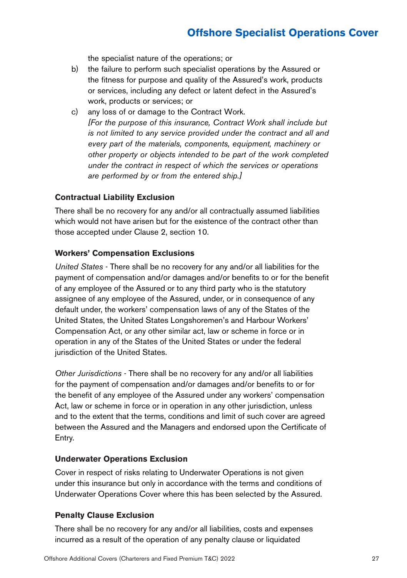the specialist nature of the operations; or

- b) the failure to perform such specialist operations by the Assured or the fitness for purpose and quality of the Assured's work, products or services, including any defect or latent defect in the Assured's work, products or services; or
- c) any loss of or damage to the Contract Work. *[For the purpose of this insurance, Contract Work shall include but is not limited to any service provided under the contract and all and every part of the materials, components, equipment, machinery or other property or objects intended to be part of the work completed under the contract in respect of which the services or operations are performed by or from the entered ship.]*

#### **Contractual Liability Exclusion**

There shall be no recovery for any and/or all contractually assumed liabilities which would not have arisen but for the existence of the contract other than those accepted under Clause 2, section 10.

#### **Workers' Compensation Exclusions**

*United States* - There shall be no recovery for any and/or all liabilities for the payment of compensation and/or damages and/or benefits to or for the benefit of any employee of the Assured or to any third party who is the statutory assignee of any employee of the Assured, under, or in consequence of any default under, the workers' compensation laws of any of the States of the United States, the United States Longshoremen's and Harbour Workers' Compensation Act, or any other similar act, law or scheme in force or in operation in any of the States of the United States or under the federal jurisdiction of the United States.

*Other Jurisdictions* - There shall be no recovery for any and/or all liabilities for the payment of compensation and/or damages and/or benefits to or for the benefit of any employee of the Assured under any workers' compensation Act, law or scheme in force or in operation in any other jurisdiction, unless and to the extent that the terms, conditions and limit of such cover are agreed between the Assured and the Managers and endorsed upon the Certificate of Entry.

#### **Underwater Operations Exclusion**

Cover in respect of risks relating to Underwater Operations is not given under this insurance but only in accordance with the terms and conditions of Underwater Operations Cover where this has been selected by the Assured.

#### **Penalty Clause Exclusion**

There shall be no recovery for any and/or all liabilities, costs and expenses incurred as a result of the operation of any penalty clause or liquidated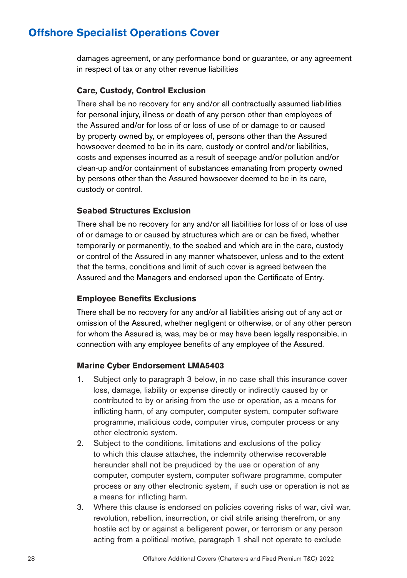damages agreement, or any performance bond or guarantee, or any agreement in respect of tax or any other revenue liabilities

#### **Care, Custody, Control Exclusion**

There shall be no recovery for any and/or all contractually assumed liabilities for personal injury, illness or death of any person other than employees of the Assured and/or for loss of or loss of use of or damage to or caused by property owned by, or employees of, persons other than the Assured howsoever deemed to be in its care, custody or control and/or liabilities, costs and expenses incurred as a result of seepage and/or pollution and/or clean-up and/or containment of substances emanating from property owned by persons other than the Assured howsoever deemed to be in its care, custody or control.

#### **Seabed Structures Exclusion**

There shall be no recovery for any and/or all liabilities for loss of or loss of use of or damage to or caused by structures which are or can be fixed, whether temporarily or permanently, to the seabed and which are in the care, custody or control of the Assured in any manner whatsoever, unless and to the extent that the terms, conditions and limit of such cover is agreed between the Assured and the Managers and endorsed upon the Certificate of Entry.

#### **Employee Benefits Exclusions**

There shall be no recovery for any and/or all liabilities arising out of any act or omission of the Assured, whether negligent or otherwise, or of any other person for whom the Assured is, was, may be or may have been legally responsible, in connection with any employee benefits of any employee of the Assured.

#### **Marine Cyber Endorsement LMA5403**

- 1. Subject only to paragraph 3 below, in no case shall this insurance cover loss, damage, liability or expense directly or indirectly caused by or contributed to by or arising from the use or operation, as a means for inflicting harm, of any computer, computer system, computer software programme, malicious code, computer virus, computer process or any other electronic system.
- 2. Subject to the conditions, limitations and exclusions of the policy to which this clause attaches, the indemnity otherwise recoverable hereunder shall not be prejudiced by the use or operation of any computer, computer system, computer software programme, computer process or any other electronic system, if such use or operation is not as a means for inflicting harm.
- 3. Where this clause is endorsed on policies covering risks of war, civil war, revolution, rebellion, insurrection, or civil strife arising therefrom, or any hostile act by or against a belligerent power, or terrorism or any person acting from a political motive, paragraph 1 shall not operate to exclude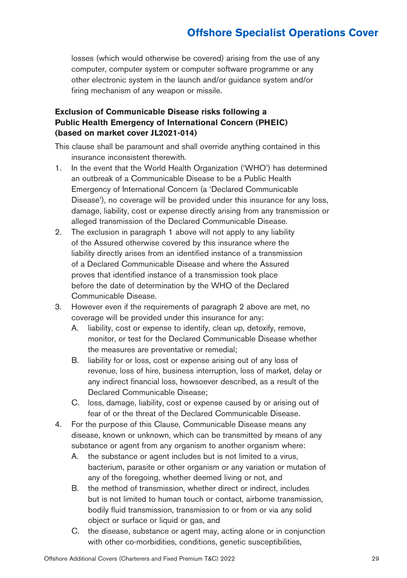losses (which would otherwise be covered) arising from the use of any computer, computer system or computer software programme or any other electronic system in the launch and/or guidance system and/or firing mechanism of any weapon or missile.

### **Exclusion of Communicable Disease risks following a Public Health Emergency of International Concern (PHEIC) (based on market cover JL2021-014)**

This clause shall be paramount and shall override anything contained in this insurance inconsistent therewith.

- 1. In the event that the World Health Organization ('WHO') has determined an outbreak of a Communicable Disease to be a Public Health Emergency of International Concern (a 'Declared Communicable Disease'), no coverage will be provided under this insurance for any loss, damage, liability, cost or expense directly arising from any transmission or alleged transmission of the Declared Communicable Disease.
- 2. The exclusion in paragraph 1 above will not apply to any liability of the Assured otherwise covered by this insurance where the liability directly arises from an identified instance of a transmission of a Declared Communicable Disease and where the Assured proves that identified instance of a transmission took place before the date of determination by the WHO of the Declared Communicable Disease.
- 3. However even if the requirements of paragraph 2 above are met, no coverage will be provided under this insurance for any:
	- A. liability, cost or expense to identify, clean up, detoxify, remove, monitor, or test for the Declared Communicable Disease whether the measures are preventative or remedial;
	- B. liability for or loss, cost or expense arising out of any loss of revenue, loss of hire, business interruption, loss of market, delay or any indirect financial loss, howsoever described, as a result of the Declared Communicable Disease;
	- C. loss, damage, liability, cost or expense caused by or arising out of fear of or the threat of the Declared Communicable Disease.
- 4. For the purpose of this Clause, Communicable Disease means any disease, known or unknown, which can be transmitted by means of any substance or agent from any organism to another organism where:
	- A. the substance or agent includes but is not limited to a virus, bacterium, parasite or other organism or any variation or mutation of any of the foregoing, whether deemed living or not, and
	- B. the method of transmission, whether direct or indirect, includes but is not limited to human touch or contact, airborne transmission, bodily fluid transmission, transmission to or from or via any solid object or surface or liquid or gas, and
	- C. the disease, substance or agent may, acting alone or in conjunction with other co-morbidities, conditions, genetic susceptibilities,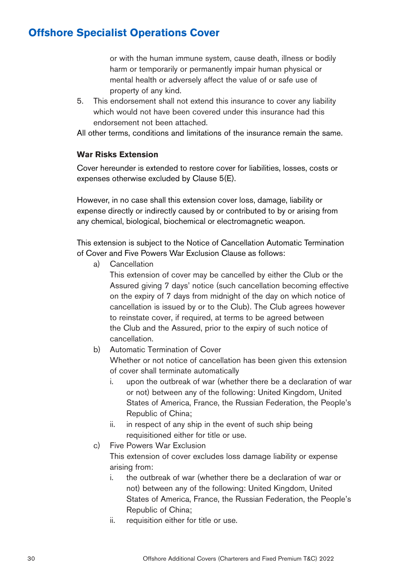or with the human immune system, cause death, illness or bodily harm or temporarily or permanently impair human physical or mental health or adversely affect the value of or safe use of property of any kind.

5. This endorsement shall not extend this insurance to cover any liability which would not have been covered under this insurance had this endorsement not been attached.

All other terms, conditions and limitations of the insurance remain the same.

#### **War Risks Extension**

Cover hereunder is extended to restore cover for liabilities, losses, costs or expenses otherwise excluded by Clause 5(E).

However, in no case shall this extension cover loss, damage, liability or expense directly or indirectly caused by or contributed to by or arising from any chemical, biological, biochemical or electromagnetic weapon.

This extension is subject to the Notice of Cancellation Automatic Termination of Cover and Five Powers War Exclusion Clause as follows:

a) Cancellation

This extension of cover may be cancelled by either the Club or the Assured giving 7 days' notice (such cancellation becoming effective on the expiry of 7 days from midnight of the day on which notice of cancellation is issued by or to the Club). The Club agrees however to reinstate cover, if required, at terms to be agreed between the Club and the Assured, prior to the expiry of such notice of cancellation.

b) Automatic Termination of Cover

Whether or not notice of cancellation has been given this extension of cover shall terminate automatically

- i. upon the outbreak of war (whether there be a declaration of war or not) between any of the following: United Kingdom, United States of America, France, the Russian Federation, the People's Republic of China;
- ii. in respect of any ship in the event of such ship being requisitioned either for title or use.
- c) Five Powers War Exclusion

This extension of cover excludes loss damage liability or expense arising from:

- i. the outbreak of war (whether there be a declaration of war or not) between any of the following: United Kingdom, United States of America, France, the Russian Federation, the People's Republic of China;
- ii. requisition either for title or use.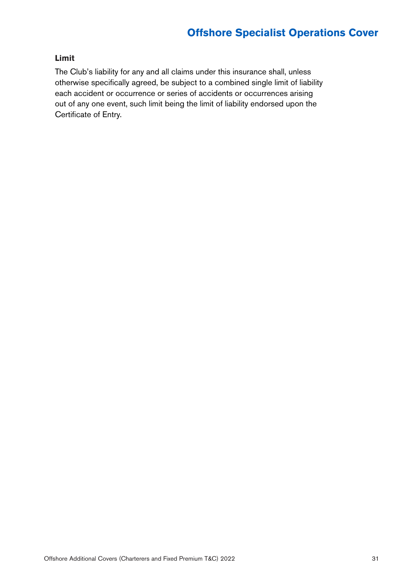### **Limit**

The Club's liability for any and all claims under this insurance shall, unless otherwise specifically agreed, be subject to a combined single limit of liability each accident or occurrence or series of accidents or occurrences arising out of any one event, such limit being the limit of liability endorsed upon the Certificate of Entry.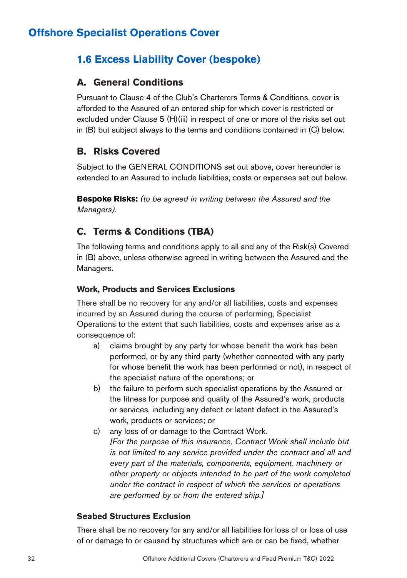### **1.6 Excess Liability Cover (bespoke)**

### **A. General Conditions**

Pursuant to Clause 4 of the Club's Charterers Terms & Conditions, cover is afforded to the Assured of an entered ship for which cover is restricted or excluded under Clause 5 (H)(iii) in respect of one or more of the risks set out in (B) but subject always to the terms and conditions contained in (C) below.

### **B. Risks Covered**

Subject to the GENERAL CONDITIONS set out above, cover hereunder is extended to an Assured to include liabilities, costs or expenses set out below.

**Bespoke Risks:** *(to be agreed in writing between the Assured and the Managers).*

### **C. Terms & Conditions (TBA)**

The following terms and conditions apply to all and any of the Risk(s) Covered in (B) above, unless otherwise agreed in writing between the Assured and the Managers.

### **Work, Products and Services Exclusions**

There shall be no recovery for any and/or all liabilities, costs and expenses incurred by an Assured during the course of performing, Specialist Operations to the extent that such liabilities, costs and expenses arise as a consequence of:

- a) claims brought by any party for whose benefit the work has been performed, or by any third party (whether connected with any party for whose benefit the work has been performed or not), in respect of the specialist nature of the operations; or
- b) the failure to perform such specialist operations by the Assured or the fitness for purpose and quality of the Assured's work, products or services, including any defect or latent defect in the Assured's work, products or services; or
- c) any loss of or damage to the Contract Work. *[For the purpose of this insurance, Contract Work shall include but is not limited to any service provided under the contract and all and every part of the materials, components, equipment, machinery or other property or objects intended to be part of the work completed under the contract in respect of which the services or operations are performed by or from the entered ship.]*

### **Seabed Structures Exclusion**

There shall be no recovery for any and/or all liabilities for loss of or loss of use of or damage to or caused by structures which are or can be fixed, whether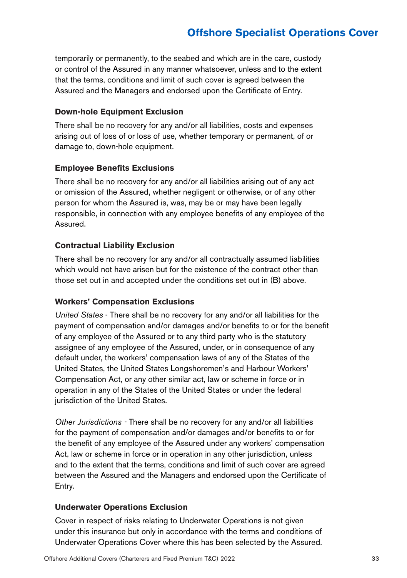temporarily or permanently, to the seabed and which are in the care, custody or control of the Assured in any manner whatsoever, unless and to the extent that the terms, conditions and limit of such cover is agreed between the Assured and the Managers and endorsed upon the Certificate of Entry.

#### **Down-hole Equipment Exclusion**

There shall be no recovery for any and/or all liabilities, costs and expenses arising out of loss of or loss of use, whether temporary or permanent, of or damage to, down-hole equipment.

#### **Employee Benefits Exclusions**

There shall be no recovery for any and/or all liabilities arising out of any act or omission of the Assured, whether negligent or otherwise, or of any other person for whom the Assured is, was, may be or may have been legally responsible, in connection with any employee benefits of any employee of the Assured.

#### **Contractual Liability Exclusion**

There shall be no recovery for any and/or all contractually assumed liabilities which would not have arisen but for the existence of the contract other than those set out in and accepted under the conditions set out in (B) above.

#### **Workers' Compensation Exclusions**

*United States* - There shall be no recovery for any and/or all liabilities for the payment of compensation and/or damages and/or benefits to or for the benefit of any employee of the Assured or to any third party who is the statutory assignee of any employee of the Assured, under, or in consequence of any default under, the workers' compensation laws of any of the States of the United States, the United States Longshoremen's and Harbour Workers' Compensation Act, or any other similar act, law or scheme in force or in operation in any of the States of the United States or under the federal jurisdiction of the United States.

*Other Jurisdictions -* There shall be no recovery for any and/or all liabilities for the payment of compensation and/or damages and/or benefits to or for the benefit of any employee of the Assured under any workers' compensation Act, law or scheme in force or in operation in any other jurisdiction, unless and to the extent that the terms, conditions and limit of such cover are agreed between the Assured and the Managers and endorsed upon the Certificate of Entry.

### **Underwater Operations Exclusion**

Cover in respect of risks relating to Underwater Operations is not given under this insurance but only in accordance with the terms and conditions of Underwater Operations Cover where this has been selected by the Assured.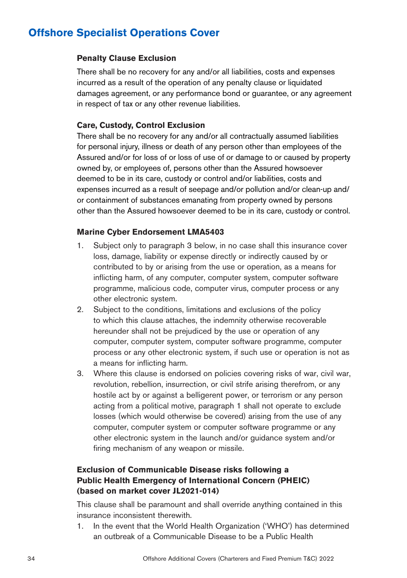#### **Penalty Clause Exclusion**

There shall be no recovery for any and/or all liabilities, costs and expenses incurred as a result of the operation of any penalty clause or liquidated damages agreement, or any performance bond or guarantee, or any agreement in respect of tax or any other revenue liabilities.

### **Care, Custody, Control Exclusion**

There shall be no recovery for any and/or all contractually assumed liabilities for personal injury, illness or death of any person other than employees of the Assured and/or for loss of or loss of use of or damage to or caused by property owned by, or employees of, persons other than the Assured howsoever deemed to be in its care, custody or control and/or liabilities, costs and expenses incurred as a result of seepage and/or pollution and/or clean-up and/ or containment of substances emanating from property owned by persons other than the Assured howsoever deemed to be in its care, custody or control.

#### **Marine Cyber Endorsement LMA5403**

- 1. Subject only to paragraph 3 below, in no case shall this insurance cover loss, damage, liability or expense directly or indirectly caused by or contributed to by or arising from the use or operation, as a means for inflicting harm, of any computer, computer system, computer software programme, malicious code, computer virus, computer process or any other electronic system.
- 2. Subject to the conditions, limitations and exclusions of the policy to which this clause attaches, the indemnity otherwise recoverable hereunder shall not be prejudiced by the use or operation of any computer, computer system, computer software programme, computer process or any other electronic system, if such use or operation is not as a means for inflicting harm.
- 3. Where this clause is endorsed on policies covering risks of war, civil war, revolution, rebellion, insurrection, or civil strife arising therefrom, or any hostile act by or against a belligerent power, or terrorism or any person acting from a political motive, paragraph 1 shall not operate to exclude losses (which would otherwise be covered) arising from the use of any computer, computer system or computer software programme or any other electronic system in the launch and/or guidance system and/or firing mechanism of any weapon or missile.

### **Exclusion of Communicable Disease risks following a Public Health Emergency of International Concern (PHEIC) (based on market cover JL2021-014)**

This clause shall be paramount and shall override anything contained in this insurance inconsistent therewith.

1. In the event that the World Health Organization ('WHO') has determined an outbreak of a Communicable Disease to be a Public Health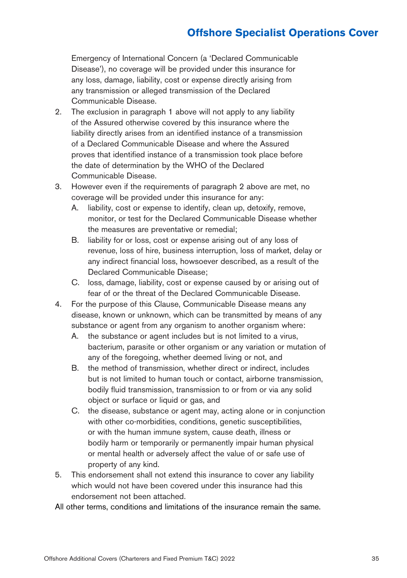Emergency of International Concern (a 'Declared Communicable Disease'), no coverage will be provided under this insurance for any loss, damage, liability, cost or expense directly arising from any transmission or alleged transmission of the Declared Communicable Disease.

- 2. The exclusion in paragraph 1 above will not apply to any liability of the Assured otherwise covered by this insurance where the liability directly arises from an identified instance of a transmission of a Declared Communicable Disease and where the Assured proves that identified instance of a transmission took place before the date of determination by the WHO of the Declared Communicable Disease.
- 3. However even if the requirements of paragraph 2 above are met, no coverage will be provided under this insurance for any:
	- A. liability, cost or expense to identify, clean up, detoxify, remove, monitor, or test for the Declared Communicable Disease whether the measures are preventative or remedial;
	- B. liability for or loss, cost or expense arising out of any loss of revenue, loss of hire, business interruption, loss of market, delay or any indirect financial loss, howsoever described, as a result of the Declared Communicable Disease;
	- C. loss, damage, liability, cost or expense caused by or arising out of fear of or the threat of the Declared Communicable Disease.
- 4. For the purpose of this Clause, Communicable Disease means any disease, known or unknown, which can be transmitted by means of any substance or agent from any organism to another organism where:
	- A. the substance or agent includes but is not limited to a virus, bacterium, parasite or other organism or any variation or mutation of any of the foregoing, whether deemed living or not, and
	- B. the method of transmission, whether direct or indirect, includes but is not limited to human touch or contact, airborne transmission, bodily fluid transmission, transmission to or from or via any solid object or surface or liquid or gas, and
	- C. the disease, substance or agent may, acting alone or in conjunction with other co-morbidities, conditions, genetic susceptibilities, or with the human immune system, cause death, illness or bodily harm or temporarily or permanently impair human physical or mental health or adversely affect the value of or safe use of property of any kind.
- 5. This endorsement shall not extend this insurance to cover any liability which would not have been covered under this insurance had this endorsement not been attached.

All other terms, conditions and limitations of the insurance remain the same.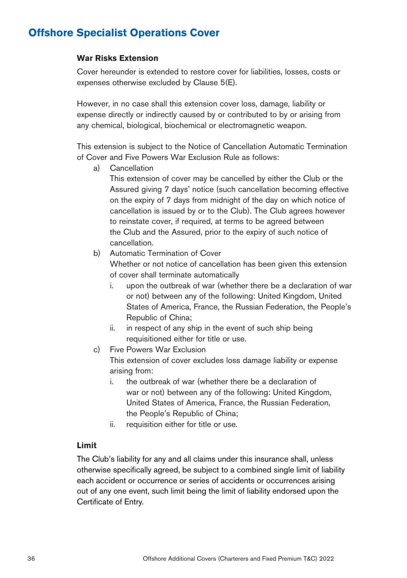#### **War Risks Extension**

Cover hereunder is extended to restore cover for liabilities, losses, costs or expenses otherwise excluded by Clause 5(E).

However, in no case shall this extension cover loss, damage, liability or expense directly or indirectly caused by or contributed to by or arising from any chemical, biological, biochemical or electromagnetic weapon.

This extension is subject to the Notice of Cancellation Automatic Termination of Cover and Five Powers War Exclusion Rule as follows:

a) Cancellation

This extension of cover may be cancelled by either the Club or the Assured giving 7 days' notice (such cancellation becoming effective on the expiry of 7 days from midnight of the day on which notice of cancellation is issued by or to the Club). The Club agrees however to reinstate cover, if required, at terms to be agreed between the Club and the Assured, prior to the expiry of such notice of cancellation.

b) Automatic Termination of Cover

Whether or not notice of cancellation has been given this extension of cover shall terminate automatically

- i. upon the outbreak of war (whether there be a declaration of war or not) between any of the following: United Kingdom, United States of America, France, the Russian Federation, the People's Republic of China;
- ii. in respect of any ship in the event of such ship being requisitioned either for title or use.
- c) Five Powers War Exclusion

This extension of cover excludes loss damage liability or expense arising from:

- i. the outbreak of war (whether there be a declaration of war or not) between any of the following: United Kingdom, United States of America, France, the Russian Federation, the People's Republic of China;
- ii. requisition either for title or use.

### **Limit**

The Club's liability for any and all claims under this insurance shall, unless otherwise specifically agreed, be subject to a combined single limit of liability each accident or occurrence or series of accidents or occurrences arising out of any one event, such limit being the limit of liability endorsed upon the Certificate of Entry.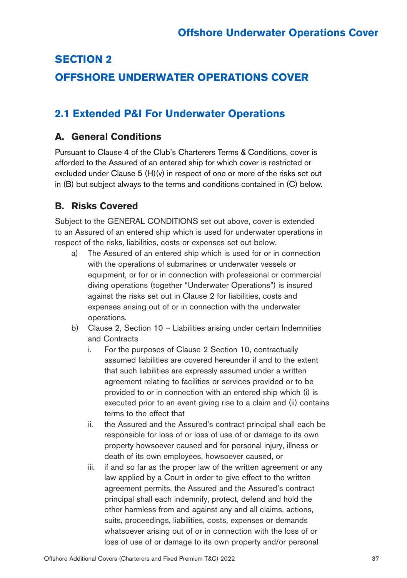# **SECTION 2 OFFSHORE UNDERWATER OPERATIONS COVER**

# **2.1 Extended P&I For Underwater Operations**

## **A. General Conditions**

Pursuant to Clause 4 of the Club's Charterers Terms & Conditions, cover is afforded to the Assured of an entered ship for which cover is restricted or excluded under Clause 5  $(H)(v)$  in respect of one or more of the risks set out in (B) but subject always to the terms and conditions contained in (C) below.

## **B. Risks Covered**

Subject to the GENERAL CONDITIONS set out above, cover is extended to an Assured of an entered ship which is used for underwater operations in respect of the risks, liabilities, costs or expenses set out below.

- a) The Assured of an entered ship which is used for or in connection with the operations of submarines or underwater vessels or equipment, or for or in connection with professional or commercial diving operations (together "Underwater Operations") is insured against the risks set out in Clause 2 for liabilities, costs and expenses arising out of or in connection with the underwater operations.
- b) Clause 2, Section 10 Liabilities arising under certain Indemnities and Contracts
	- i. For the purposes of Clause 2 Section 10, contractually assumed liabilities are covered hereunder if and to the extent that such liabilities are expressly assumed under a written agreement relating to facilities or services provided or to be provided to or in connection with an entered ship which (i) is executed prior to an event giving rise to a claim and (ii) contains terms to the effect that
	- ii. the Assured and the Assured's contract principal shall each be responsible for loss of or loss of use of or damage to its own property howsoever caused and for personal injury, illness or death of its own employees, howsoever caused, or
	- iii. if and so far as the proper law of the written agreement or any law applied by a Court in order to give effect to the written agreement permits, the Assured and the Assured's contract principal shall each indemnify, protect, defend and hold the other harmless from and against any and all claims, actions, suits, proceedings, liabilities, costs, expenses or demands whatsoever arising out of or in connection with the loss of or loss of use of or damage to its own property and/or personal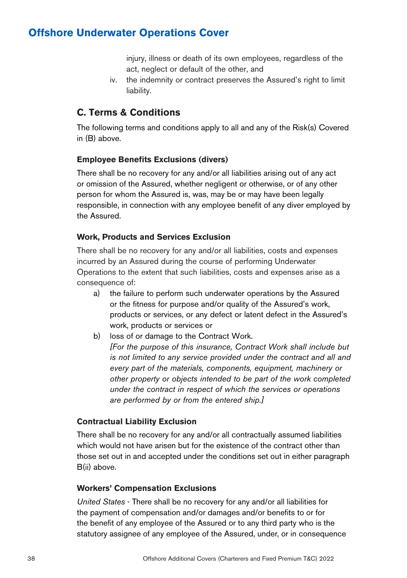injury, illness or death of its own employees, regardless of the act, neglect or default of the other, and

iv. the indemnity or contract preserves the Assured's right to limit liability.

## **C. Terms & Conditions**

The following terms and conditions apply to all and any of the Risk(s) Covered in (B) above.

#### **Employee Benefits Exclusions (divers)**

There shall be no recovery for any and/or all liabilities arising out of any act or omission of the Assured, whether negligent or otherwise, or of any other person for whom the Assured is, was, may be or may have been legally responsible, in connection with any employee benefit of any diver employed by the Assured.

#### **Work, Products and Services Exclusion**

There shall be no recovery for any and/or all liabilities, costs and expenses incurred by an Assured during the course of performing Underwater Operations to the extent that such liabilities, costs and expenses arise as a consequence of:

- a) the failure to perform such underwater operations by the Assured or the fitness for purpose and/or quality of the Assured's work, products or services, or any defect or latent defect in the Assured's work, products or services or
- b) loss of or damage to the Contract Work. *[For the purpose of this insurance, Contract Work shall include but is not limited to any service provided under the contract and all and every part of the materials, components, equipment, machinery or other property or objects intended to be part of the work completed under the contract in respect of which the services or operations are performed by or from the entered ship.]*

### **Contractual Liability Exclusion**

There shall be no recovery for any and/or all contractually assumed liabilities which would not have arisen but for the existence of the contract other than those set out in and accepted under the conditions set out in either paragraph B(ii) above.

#### **Workers' Compensation Exclusions**

*United States* - There shall be no recovery for any and/or all liabilities for the payment of compensation and/or damages and/or benefits to or for the benefit of any employee of the Assured or to any third party who is the statutory assignee of any employee of the Assured, under, or in consequence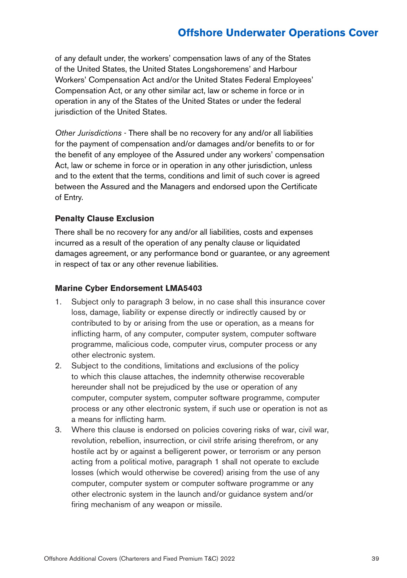of any default under, the workers' compensation laws of any of the States of the United States, the United States Longshoremens' and Harbour Workers' Compensation Act and/or the United States Federal Employees' Compensation Act, or any other similar act, law or scheme in force or in operation in any of the States of the United States or under the federal jurisdiction of the United States.

*Other Jurisdictions* - There shall be no recovery for any and/or all liabilities for the payment of compensation and/or damages and/or benefits to or for the benefit of any employee of the Assured under any workers' compensation Act, law or scheme in force or in operation in any other jurisdiction, unless and to the extent that the terms, conditions and limit of such cover is agreed between the Assured and the Managers and endorsed upon the Certificate of Entry.

### **Penalty Clause Exclusion**

There shall be no recovery for any and/or all liabilities, costs and expenses incurred as a result of the operation of any penalty clause or liquidated damages agreement, or any performance bond or guarantee, or any agreement in respect of tax or any other revenue liabilities.

#### **Marine Cyber Endorsement LMA5403**

- 1. Subject only to paragraph 3 below, in no case shall this insurance cover loss, damage, liability or expense directly or indirectly caused by or contributed to by or arising from the use or operation, as a means for inflicting harm, of any computer, computer system, computer software programme, malicious code, computer virus, computer process or any other electronic system.
- 2. Subject to the conditions, limitations and exclusions of the policy to which this clause attaches, the indemnity otherwise recoverable hereunder shall not be prejudiced by the use or operation of any computer, computer system, computer software programme, computer process or any other electronic system, if such use or operation is not as a means for inflicting harm.
- 3. Where this clause is endorsed on policies covering risks of war, civil war, revolution, rebellion, insurrection, or civil strife arising therefrom, or any hostile act by or against a belligerent power, or terrorism or any person acting from a political motive, paragraph 1 shall not operate to exclude losses (which would otherwise be covered) arising from the use of any computer, computer system or computer software programme or any other electronic system in the launch and/or guidance system and/or firing mechanism of any weapon or missile.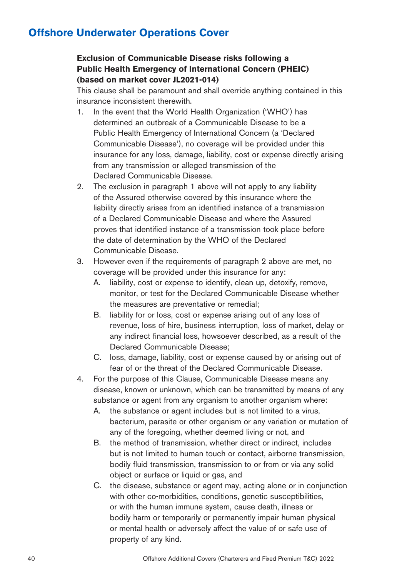### **Exclusion of Communicable Disease risks following a Public Health Emergency of International Concern (PHEIC) (based on market cover JL2021-014)**

This clause shall be paramount and shall override anything contained in this insurance inconsistent therewith.

- 1. In the event that the World Health Organization ('WHO') has determined an outbreak of a Communicable Disease to be a Public Health Emergency of International Concern (a 'Declared Communicable Disease'), no coverage will be provided under this insurance for any loss, damage, liability, cost or expense directly arising from any transmission or alleged transmission of the Declared Communicable Disease.
- 2. The exclusion in paragraph 1 above will not apply to any liability of the Assured otherwise covered by this insurance where the liability directly arises from an identified instance of a transmission of a Declared Communicable Disease and where the Assured proves that identified instance of a transmission took place before the date of determination by the WHO of the Declared Communicable Disease.
- 3. However even if the requirements of paragraph 2 above are met, no coverage will be provided under this insurance for any:
	- A. liability, cost or expense to identify, clean up, detoxify, remove, monitor, or test for the Declared Communicable Disease whether the measures are preventative or remedial;
	- B. liability for or loss, cost or expense arising out of any loss of revenue, loss of hire, business interruption, loss of market, delay or any indirect financial loss, howsoever described, as a result of the Declared Communicable Disease;
	- C. loss, damage, liability, cost or expense caused by or arising out of fear of or the threat of the Declared Communicable Disease.
- 4. For the purpose of this Clause, Communicable Disease means any disease, known or unknown, which can be transmitted by means of any substance or agent from any organism to another organism where:
	- A. the substance or agent includes but is not limited to a virus, bacterium, parasite or other organism or any variation or mutation of any of the foregoing, whether deemed living or not, and
	- B. the method of transmission, whether direct or indirect, includes but is not limited to human touch or contact, airborne transmission, bodily fluid transmission, transmission to or from or via any solid object or surface or liquid or gas, and
	- C. the disease, substance or agent may, acting alone or in conjunction with other co-morbidities, conditions, genetic susceptibilities, or with the human immune system, cause death, illness or bodily harm or temporarily or permanently impair human physical or mental health or adversely affect the value of or safe use of property of any kind.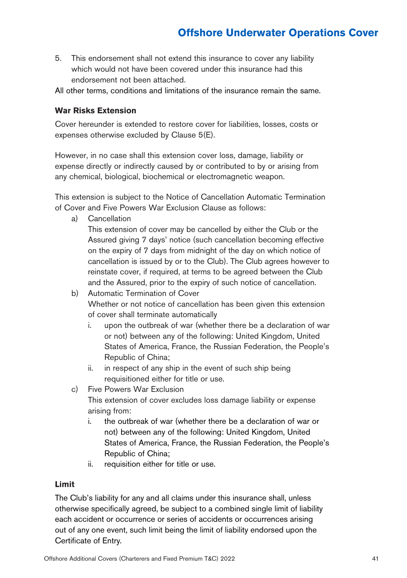5. This endorsement shall not extend this insurance to cover any liability which would not have been covered under this insurance had this endorsement not been attached.

All other terms, conditions and limitations of the insurance remain the same.

#### **War Risks Extension**

Cover hereunder is extended to restore cover for liabilities, losses, costs or expenses otherwise excluded by Clause 5(E).

However, in no case shall this extension cover loss, damage, liability or expense directly or indirectly caused by or contributed to by or arising from any chemical, biological, biochemical or electromagnetic weapon.

This extension is subject to the Notice of Cancellation Automatic Termination of Cover and Five Powers War Exclusion Clause as follows:

a) Cancellation

This extension of cover may be cancelled by either the Club or the Assured giving 7 days' notice (such cancellation becoming effective on the expiry of 7 days from midnight of the day on which notice of cancellation is issued by or to the Club). The Club agrees however to reinstate cover, if required, at terms to be agreed between the Club and the Assured, prior to the expiry of such notice of cancellation.

- b) Automatic Termination of Cover Whether or not notice of cancellation has been given this extension of cover shall terminate automatically
	- i. upon the outbreak of war (whether there be a declaration of war or not) between any of the following: United Kingdom, United States of America, France, the Russian Federation, the People's Republic of China;
	- ii. in respect of any ship in the event of such ship being requisitioned either for title or use.
- c) Five Powers War Exclusion This extension of cover excludes loss damage liability or expense arising from:
	- i. the outbreak of war (whether there be a declaration of war or not) between any of the following: United Kingdom, United States of America, France, the Russian Federation, the People's Republic of China;
	- ii. requisition either for title or use.

#### **Limit**

The Club's liability for any and all claims under this insurance shall, unless otherwise specifically agreed, be subject to a combined single limit of liability each accident or occurrence or series of accidents or occurrences arising out of any one event, such limit being the limit of liability endorsed upon the Certificate of Entry.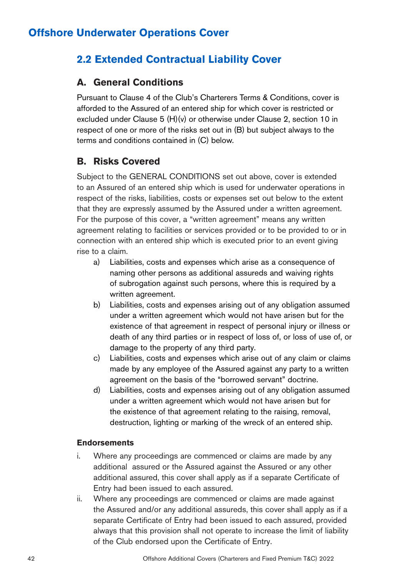# **2.2 Extended Contractual Liability Cover**

## **A. General Conditions**

Pursuant to Clause 4 of the Club's Charterers Terms & Conditions, cover is afforded to the Assured of an entered ship for which cover is restricted or excluded under Clause 5 (H)(v) or otherwise under Clause 2, section 10 in respect of one or more of the risks set out in (B) but subject always to the terms and conditions contained in (C) below.

## **B. Risks Covered**

Subject to the GENERAL CONDITIONS set out above, cover is extended to an Assured of an entered ship which is used for underwater operations in respect of the risks, liabilities, costs or expenses set out below to the extent that they are expressly assumed by the Assured under a written agreement. For the purpose of this cover, a "written agreement" means any written agreement relating to facilities or services provided or to be provided to or in connection with an entered ship which is executed prior to an event giving rise to a claim.

- a) Liabilities, costs and expenses which arise as a consequence of naming other persons as additional assureds and waiving rights of subrogation against such persons, where this is required by a written agreement.
- b) Liabilities, costs and expenses arising out of any obligation assumed under a written agreement which would not have arisen but for the existence of that agreement in respect of personal injury or illness or death of any third parties or in respect of loss of, or loss of use of, or damage to the property of any third party.
- c) Liabilities, costs and expenses which arise out of any claim or claims made by any employee of the Assured against any party to a written agreement on the basis of the "borrowed servant" doctrine.
- d) Liabilities, costs and expenses arising out of any obligation assumed under a written agreement which would not have arisen but for the existence of that agreement relating to the raising, removal, destruction, lighting or marking of the wreck of an entered ship.

### **Endorsements**

- i. Where any proceedings are commenced or claims are made by any additional assured or the Assured against the Assured or any other additional assured, this cover shall apply as if a separate Certificate of Entry had been issued to each assured.
- ii. Where any proceedings are commenced or claims are made against the Assured and/or any additional assureds, this cover shall apply as if a separate Certificate of Entry had been issued to each assured, provided always that this provision shall not operate to increase the limit of liability of the Club endorsed upon the Certificate of Entry.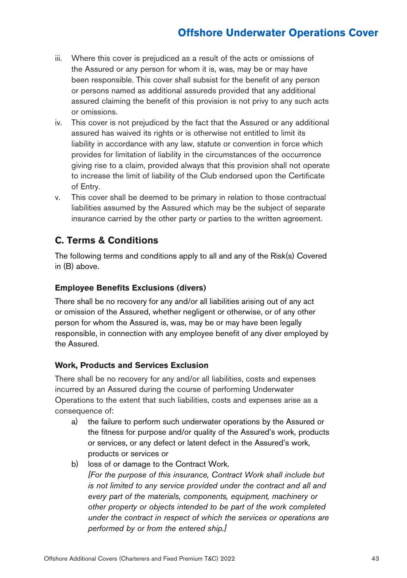- iii. Where this cover is prejudiced as a result of the acts or omissions of the Assured or any person for whom it is, was, may be or may have been responsible. This cover shall subsist for the benefit of any person or persons named as additional assureds provided that any additional assured claiming the benefit of this provision is not privy to any such acts or omissions.
- iv. This cover is not prejudiced by the fact that the Assured or any additional assured has waived its rights or is otherwise not entitled to limit its liability in accordance with any law, statute or convention in force which provides for limitation of liability in the circumstances of the occurrence giving rise to a claim, provided always that this provision shall not operate to increase the limit of liability of the Club endorsed upon the Certificate of Entry.
- v. This cover shall be deemed to be primary in relation to those contractual liabilities assumed by the Assured which may be the subject of separate insurance carried by the other party or parties to the written agreement.

## **C. Terms & Conditions**

The following terms and conditions apply to all and any of the Risk(s) Covered in (B) above.

### **Employee Benefits Exclusions (divers)**

There shall be no recovery for any and/or all liabilities arising out of any act or omission of the Assured, whether negligent or otherwise, or of any other person for whom the Assured is, was, may be or may have been legally responsible, in connection with any employee benefit of any diver employed by the Assured.

### **Work, Products and Services Exclusion**

There shall be no recovery for any and/or all liabilities, costs and expenses incurred by an Assured during the course of performing Underwater Operations to the extent that such liabilities, costs and expenses arise as a consequence of:

- a) the failure to perform such underwater operations by the Assured or the fitness for purpose and/or quality of the Assured's work, products or services, or any defect or latent defect in the Assured's work, products or services or
- b) loss of or damage to the Contract Work. *[For the purpose of this insurance, Contract Work shall include but is not limited to any service provided under the contract and all and every part of the materials, components, equipment, machinery or other property or objects intended to be part of the work completed under the contract in respect of which the services or operations are performed by or from the entered ship.]*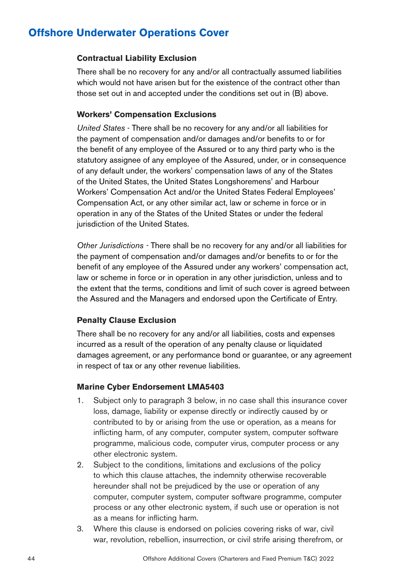#### **Contractual Liability Exclusion**

There shall be no recovery for any and/or all contractually assumed liabilities which would not have arisen but for the existence of the contract other than those set out in and accepted under the conditions set out in (B) above.

#### **Workers' Compensation Exclusions**

*United States* - There shall be no recovery for any and/or all liabilities for the payment of compensation and/or damages and/or benefits to or for the benefit of any employee of the Assured or to any third party who is the statutory assignee of any employee of the Assured, under, or in consequence of any default under, the workers' compensation laws of any of the States of the United States, the United States Longshoremens' and Harbour Workers' Compensation Act and/or the United States Federal Employees' Compensation Act, or any other similar act, law or scheme in force or in operation in any of the States of the United States or under the federal jurisdiction of the United States.

*Other Jurisdictions -* There shall be no recovery for any and/or all liabilities for the payment of compensation and/or damages and/or benefits to or for the benefit of any employee of the Assured under any workers' compensation act, law or scheme in force or in operation in any other jurisdiction, unless and to the extent that the terms, conditions and limit of such cover is agreed between the Assured and the Managers and endorsed upon the Certificate of Entry.

#### **Penalty Clause Exclusion**

There shall be no recovery for any and/or all liabilities, costs and expenses incurred as a result of the operation of any penalty clause or liquidated damages agreement, or any performance bond or guarantee, or any agreement in respect of tax or any other revenue liabilities.

#### **Marine Cyber Endorsement LMA5403**

- 1. Subject only to paragraph 3 below, in no case shall this insurance cover loss, damage, liability or expense directly or indirectly caused by or contributed to by or arising from the use or operation, as a means for inflicting harm, of any computer, computer system, computer software programme, malicious code, computer virus, computer process or any other electronic system.
- 2. Subject to the conditions, limitations and exclusions of the policy to which this clause attaches, the indemnity otherwise recoverable hereunder shall not be prejudiced by the use or operation of any computer, computer system, computer software programme, computer process or any other electronic system, if such use or operation is not as a means for inflicting harm.
- 3. Where this clause is endorsed on policies covering risks of war, civil war, revolution, rebellion, insurrection, or civil strife arising therefrom, or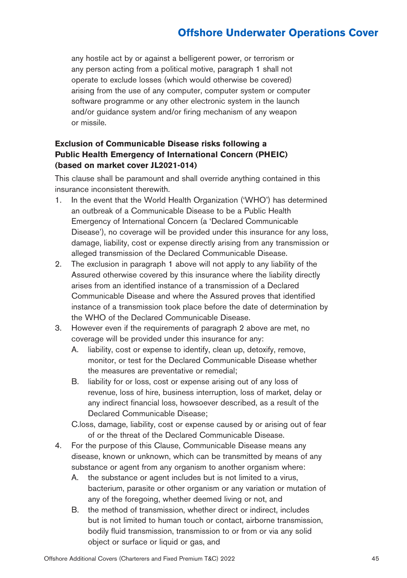any hostile act by or against a belligerent power, or terrorism or any person acting from a political motive, paragraph 1 shall not operate to exclude losses (which would otherwise be covered) arising from the use of any computer, computer system or computer software programme or any other electronic system in the launch and/or guidance system and/or firing mechanism of any weapon or missile.

### **Exclusion of Communicable Disease risks following a Public Health Emergency of International Concern (PHEIC) (based on market cover JL2021-014)**

This clause shall be paramount and shall override anything contained in this insurance inconsistent therewith.

- 1. In the event that the World Health Organization ('WHO') has determined an outbreak of a Communicable Disease to be a Public Health Emergency of International Concern (a 'Declared Communicable Disease'), no coverage will be provided under this insurance for any loss, damage, liability, cost or expense directly arising from any transmission or alleged transmission of the Declared Communicable Disease.
- 2. The exclusion in paragraph 1 above will not apply to any liability of the Assured otherwise covered by this insurance where the liability directly arises from an identified instance of a transmission of a Declared Communicable Disease and where the Assured proves that identified instance of a transmission took place before the date of determination by the WHO of the Declared Communicable Disease.
- 3. However even if the requirements of paragraph 2 above are met, no coverage will be provided under this insurance for any:
	- A. liability, cost or expense to identify, clean up, detoxify, remove, monitor, or test for the Declared Communicable Disease whether the measures are preventative or remedial;
	- B. liability for or loss, cost or expense arising out of any loss of revenue, loss of hire, business interruption, loss of market, delay or any indirect financial loss, howsoever described, as a result of the Declared Communicable Disease;

C.loss, damage, liability, cost or expense caused by or arising out of fear of or the threat of the Declared Communicable Disease.

- 4. For the purpose of this Clause, Communicable Disease means any disease, known or unknown, which can be transmitted by means of any substance or agent from any organism to another organism where:
	- A. the substance or agent includes but is not limited to a virus, bacterium, parasite or other organism or any variation or mutation of any of the foregoing, whether deemed living or not, and
	- B. the method of transmission, whether direct or indirect, includes but is not limited to human touch or contact, airborne transmission, bodily fluid transmission, transmission to or from or via any solid object or surface or liquid or gas, and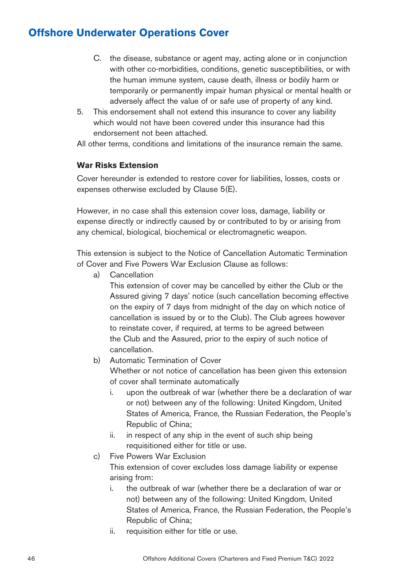- C. the disease, substance or agent may, acting alone or in conjunction with other co-morbidities, conditions, genetic susceptibilities, or with the human immune system, cause death, illness or bodily harm or temporarily or permanently impair human physical or mental health or adversely affect the value of or safe use of property of any kind.
- 5. This endorsement shall not extend this insurance to cover any liability which would not have been covered under this insurance had this endorsement not been attached.

All other terms, conditions and limitations of the insurance remain the same.

### **War Risks Extension**

Cover hereunder is extended to restore cover for liabilities, losses, costs or expenses otherwise excluded by Clause 5(E).

However, in no case shall this extension cover loss, damage, liability or expense directly or indirectly caused by or contributed to by or arising from any chemical, biological, biochemical or electromagnetic weapon.

This extension is subject to the Notice of Cancellation Automatic Termination of Cover and Five Powers War Exclusion Clause as follows:

a) Cancellation

This extension of cover may be cancelled by either the Club or the Assured giving 7 days' notice (such cancellation becoming effective on the expiry of 7 days from midnight of the day on which notice of cancellation is issued by or to the Club). The Club agrees however to reinstate cover, if required, at terms to be agreed between the Club and the Assured, prior to the expiry of such notice of cancellation.

b) Automatic Termination of Cover

Whether or not notice of cancellation has been given this extension of cover shall terminate automatically

- i. upon the outbreak of war (whether there be a declaration of war or not) between any of the following: United Kingdom, United States of America, France, the Russian Federation, the People's Republic of China;
- ii. in respect of any ship in the event of such ship being requisitioned either for title or use.
- c) Five Powers War Exclusion

This extension of cover excludes loss damage liability or expense arising from:

- i. the outbreak of war (whether there be a declaration of war or not) between any of the following: United Kingdom, United States of America, France, the Russian Federation, the People's Republic of China;
- ii. requisition either for title or use.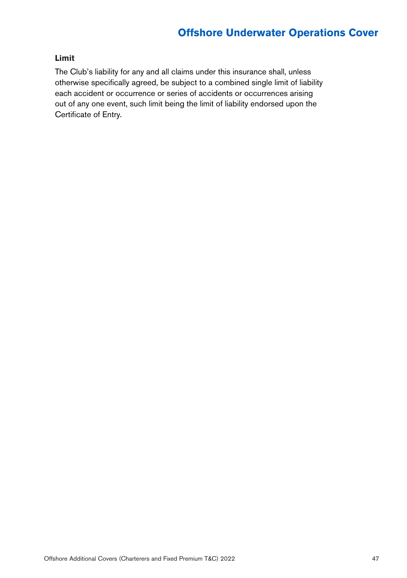### **Limit**

The Club's liability for any and all claims under this insurance shall, unless otherwise specifically agreed, be subject to a combined single limit of liability each accident or occurrence or series of accidents or occurrences arising out of any one event, such limit being the limit of liability endorsed upon the Certificate of Entry.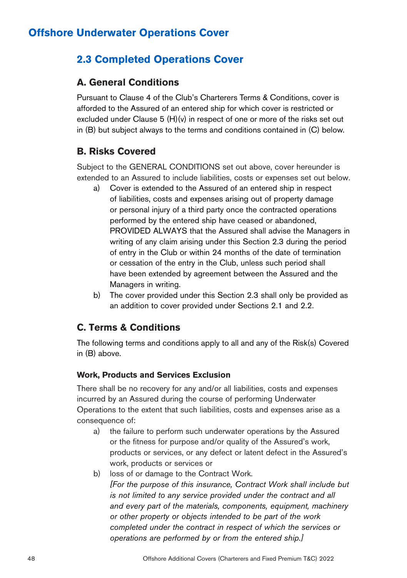## **2.3 Completed Operations Cover**

### **A. General Conditions**

Pursuant to Clause 4 of the Club's Charterers Terms & Conditions, cover is afforded to the Assured of an entered ship for which cover is restricted or excluded under Clause 5 (H)(v) in respect of one or more of the risks set out in (B) but subject always to the terms and conditions contained in (C) below.

### **B. Risks Covered**

Subject to the GENERAL CONDITIONS set out above, cover hereunder is extended to an Assured to include liabilities, costs or expenses set out below.

- a) Cover is extended to the Assured of an entered ship in respect of liabilities, costs and expenses arising out of property damage or personal injury of a third party once the contracted operations performed by the entered ship have ceased or abandoned, PROVIDED ALWAYS that the Assured shall advise the Managers in writing of any claim arising under this Section 2.3 during the period of entry in the Club or within 24 months of the date of termination or cessation of the entry in the Club, unless such period shall have been extended by agreement between the Assured and the Managers in writing.
- b) The cover provided under this Section 2.3 shall only be provided as an addition to cover provided under Sections 2.1 and 2.2.

## **C. Terms & Conditions**

The following terms and conditions apply to all and any of the Risk(s) Covered in (B) above.

### **Work, Products and Services Exclusion**

There shall be no recovery for any and/or all liabilities, costs and expenses incurred by an Assured during the course of performing Underwater Operations to the extent that such liabilities, costs and expenses arise as a consequence of:

- a) the failure to perform such underwater operations by the Assured or the fitness for purpose and/or quality of the Assured's work, products or services, or any defect or latent defect in the Assured's work, products or services or
- b) loss of or damage to the Contract Work. *[For the purpose of this insurance, Contract Work shall include but is not limited to any service provided under the contract and all and every part of the materials, components, equipment, machinery or other property or objects intended to be part of the work completed under the contract in respect of which the services or operations are performed by or from the entered ship.]*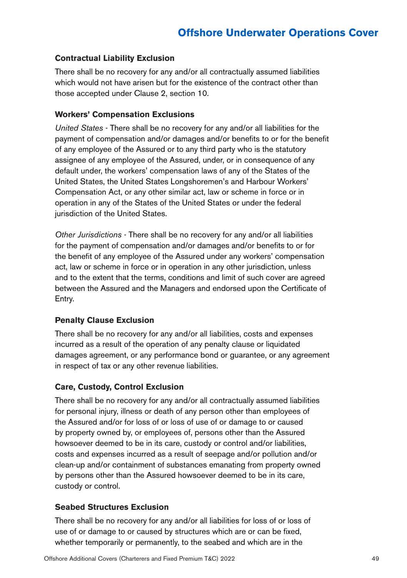### **Contractual Liability Exclusion**

There shall be no recovery for any and/or all contractually assumed liabilities which would not have arisen but for the existence of the contract other than those accepted under Clause 2, section 10.

### **Workers' Compensation Exclusions**

*United States* - There shall be no recovery for any and/or all liabilities for the payment of compensation and/or damages and/or benefits to or for the benefit of any employee of the Assured or to any third party who is the statutory assignee of any employee of the Assured, under, or in consequence of any default under, the workers' compensation laws of any of the States of the United States, the United States Longshoremen's and Harbour Workers' Compensation Act, or any other similar act, law or scheme in force or in operation in any of the States of the United States or under the federal jurisdiction of the United States.

*Other Jurisdictions* - There shall be no recovery for any and/or all liabilities for the payment of compensation and/or damages and/or benefits to or for the benefit of any employee of the Assured under any workers' compensation act, law or scheme in force or in operation in any other jurisdiction, unless and to the extent that the terms, conditions and limit of such cover are agreed between the Assured and the Managers and endorsed upon the Certificate of Entry.

### **Penalty Clause Exclusion**

There shall be no recovery for any and/or all liabilities, costs and expenses incurred as a result of the operation of any penalty clause or liquidated damages agreement, or any performance bond or guarantee, or any agreement in respect of tax or any other revenue liabilities.

### **Care, Custody, Control Exclusion**

There shall be no recovery for any and/or all contractually assumed liabilities for personal injury, illness or death of any person other than employees of the Assured and/or for loss of or loss of use of or damage to or caused by property owned by, or employees of, persons other than the Assured howsoever deemed to be in its care, custody or control and/or liabilities, costs and expenses incurred as a result of seepage and/or pollution and/or clean-up and/or containment of substances emanating from property owned by persons other than the Assured howsoever deemed to be in its care, custody or control.

### **Seabed Structures Exclusion**

There shall be no recovery for any and/or all liabilities for loss of or loss of use of or damage to or caused by structures which are or can be fixed, whether temporarily or permanently, to the seabed and which are in the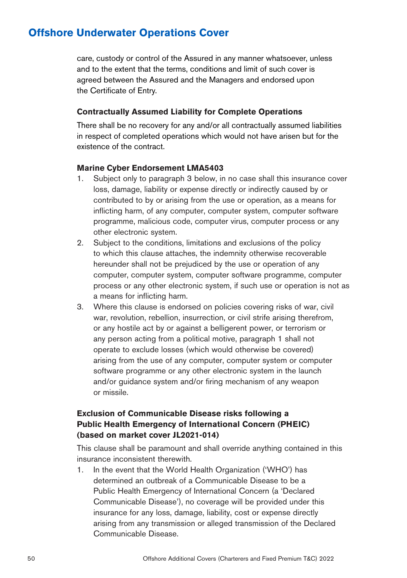care, custody or control of the Assured in any manner whatsoever, unless and to the extent that the terms, conditions and limit of such cover is agreed between the Assured and the Managers and endorsed upon the Certificate of Entry.

#### **Contractually Assumed Liability for Complete Operations**

There shall be no recovery for any and/or all contractually assumed liabilities in respect of completed operations which would not have arisen but for the existence of the contract.

#### **Marine Cyber Endorsement LMA5403**

- 1. Subject only to paragraph 3 below, in no case shall this insurance cover loss, damage, liability or expense directly or indirectly caused by or contributed to by or arising from the use or operation, as a means for inflicting harm, of any computer, computer system, computer software programme, malicious code, computer virus, computer process or any other electronic system.
- 2. Subject to the conditions, limitations and exclusions of the policy to which this clause attaches, the indemnity otherwise recoverable hereunder shall not be prejudiced by the use or operation of any computer, computer system, computer software programme, computer process or any other electronic system, if such use or operation is not as a means for inflicting harm.
- 3. Where this clause is endorsed on policies covering risks of war, civil war, revolution, rebellion, insurrection, or civil strife arising therefrom, or any hostile act by or against a belligerent power, or terrorism or any person acting from a political motive, paragraph 1 shall not operate to exclude losses (which would otherwise be covered) arising from the use of any computer, computer system or computer software programme or any other electronic system in the launch and/or guidance system and/or firing mechanism of any weapon or missile.

### **Exclusion of Communicable Disease risks following a Public Health Emergency of International Concern (PHEIC) (based on market cover JL2021-014)**

This clause shall be paramount and shall override anything contained in this insurance inconsistent therewith.

1. In the event that the World Health Organization ('WHO') has determined an outbreak of a Communicable Disease to be a Public Health Emergency of International Concern (a 'Declared Communicable Disease'), no coverage will be provided under this insurance for any loss, damage, liability, cost or expense directly arising from any transmission or alleged transmission of the Declared Communicable Disease.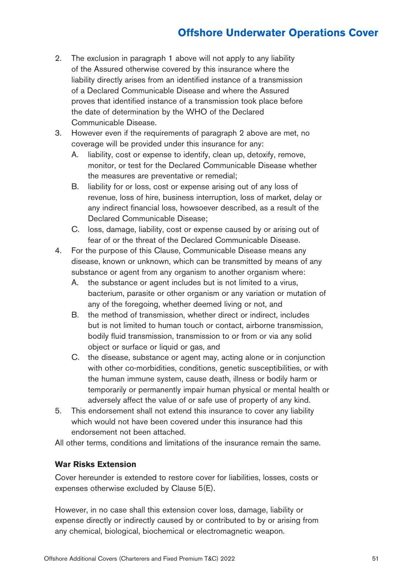- 2. The exclusion in paragraph 1 above will not apply to any liability of the Assured otherwise covered by this insurance where the liability directly arises from an identified instance of a transmission of a Declared Communicable Disease and where the Assured proves that identified instance of a transmission took place before the date of determination by the WHO of the Declared Communicable Disease.
- 3. However even if the requirements of paragraph 2 above are met, no coverage will be provided under this insurance for any:
	- A. liability, cost or expense to identify, clean up, detoxify, remove, monitor, or test for the Declared Communicable Disease whether the measures are preventative or remedial;
	- B. liability for or loss, cost or expense arising out of any loss of revenue, loss of hire, business interruption, loss of market, delay or any indirect financial loss, howsoever described, as a result of the Declared Communicable Disease;
	- C. loss, damage, liability, cost or expense caused by or arising out of fear of or the threat of the Declared Communicable Disease.
- 4. For the purpose of this Clause, Communicable Disease means any disease, known or unknown, which can be transmitted by means of any substance or agent from any organism to another organism where:
	- A. the substance or agent includes but is not limited to a virus, bacterium, parasite or other organism or any variation or mutation of any of the foregoing, whether deemed living or not, and
	- B. the method of transmission, whether direct or indirect, includes but is not limited to human touch or contact, airborne transmission, bodily fluid transmission, transmission to or from or via any solid object or surface or liquid or gas, and
	- C. the disease, substance or agent may, acting alone or in conjunction with other co-morbidities, conditions, genetic susceptibilities, or with the human immune system, cause death, illness or bodily harm or temporarily or permanently impair human physical or mental health or adversely affect the value of or safe use of property of any kind.
- 5. This endorsement shall not extend this insurance to cover any liability which would not have been covered under this insurance had this endorsement not been attached.

All other terms, conditions and limitations of the insurance remain the same.

### **War Risks Extension**

Cover hereunder is extended to restore cover for liabilities, losses, costs or expenses otherwise excluded by Clause 5(E).

However, in no case shall this extension cover loss, damage, liability or expense directly or indirectly caused by or contributed to by or arising from any chemical, biological, biochemical or electromagnetic weapon.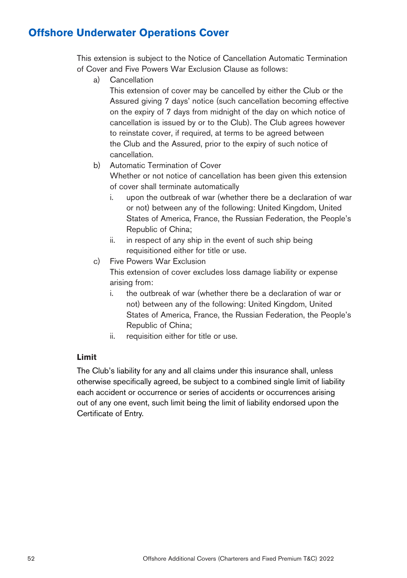This extension is subject to the Notice of Cancellation Automatic Termination of Cover and Five Powers War Exclusion Clause as follows:

a) Cancellation

This extension of cover may be cancelled by either the Club or the Assured giving 7 days' notice (such cancellation becoming effective on the expiry of 7 days from midnight of the day on which notice of cancellation is issued by or to the Club). The Club agrees however to reinstate cover, if required, at terms to be agreed between the Club and the Assured, prior to the expiry of such notice of cancellation.

- b) Automatic Termination of Cover Whether or not notice of cancellation has been given this extension of cover shall terminate automatically
	- i. upon the outbreak of war (whether there be a declaration of war or not) between any of the following: United Kingdom, United States of America, France, the Russian Federation, the People's Republic of China;
	- ii. in respect of any ship in the event of such ship being requisitioned either for title or use.
- c) Five Powers War Exclusion

This extension of cover excludes loss damage liability or expense arising from:

- i. the outbreak of war (whether there be a declaration of war or not) between any of the following: United Kingdom, United States of America, France, the Russian Federation, the People's Republic of China;
- ii. requisition either for title or use.

### **Limit**

The Club's liability for any and all claims under this insurance shall, unless otherwise specifically agreed, be subject to a combined single limit of liability each accident or occurrence or series of accidents or occurrences arising out of any one event, such limit being the limit of liability endorsed upon the Certificate of Entry.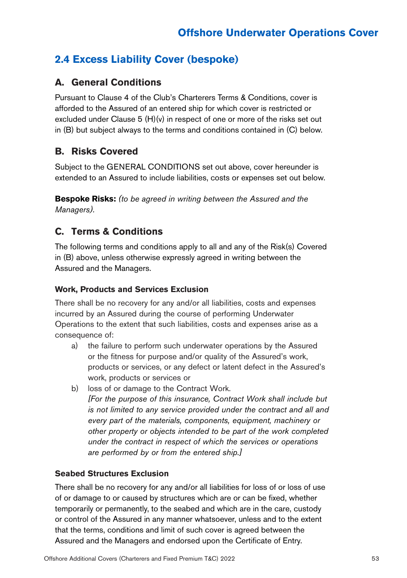# **2.4 Excess Liability Cover (bespoke)**

## **A. General Conditions**

Pursuant to Clause 4 of the Club's Charterers Terms & Conditions, cover is afforded to the Assured of an entered ship for which cover is restricted or excluded under Clause 5 (H)(v) in respect of one or more of the risks set out in (B) but subject always to the terms and conditions contained in (C) below.

## **B. Risks Covered**

Subject to the GENERAL CONDITIONS set out above, cover hereunder is extended to an Assured to include liabilities, costs or expenses set out below.

**Bespoke Risks:** *(to be agreed in writing between the Assured and the Managers).*

## **C. Terms & Conditions**

The following terms and conditions apply to all and any of the Risk(s) Covered in (B) above, unless otherwise expressly agreed in writing between the Assured and the Managers.

### **Work, Products and Services Exclusion**

There shall be no recovery for any and/or all liabilities, costs and expenses incurred by an Assured during the course of performing Underwater Operations to the extent that such liabilities, costs and expenses arise as a consequence of:

- a) the failure to perform such underwater operations by the Assured or the fitness for purpose and/or quality of the Assured's work, products or services, or any defect or latent defect in the Assured's work, products or services or
- b) loss of or damage to the Contract Work. *[For the purpose of this insurance, Contract Work shall include but is not limited to any service provided under the contract and all and every part of the materials, components, equipment, machinery or other property or objects intended to be part of the work completed under the contract in respect of which the services or operations are performed by or from the entered ship.]*

### **Seabed Structures Exclusion**

There shall be no recovery for any and/or all liabilities for loss of or loss of use of or damage to or caused by structures which are or can be fixed, whether temporarily or permanently, to the seabed and which are in the care, custody or control of the Assured in any manner whatsoever, unless and to the extent that the terms, conditions and limit of such cover is agreed between the Assured and the Managers and endorsed upon the Certificate of Entry.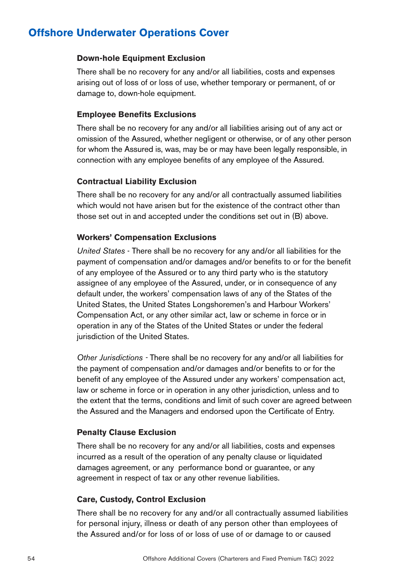#### **Down-hole Equipment Exclusion**

There shall be no recovery for any and/or all liabilities, costs and expenses arising out of loss of or loss of use, whether temporary or permanent, of or damage to, down-hole equipment.

#### **Employee Benefits Exclusions**

There shall be no recovery for any and/or all liabilities arising out of any act or omission of the Assured, whether negligent or otherwise, or of any other person for whom the Assured is, was, may be or may have been legally responsible, in connection with any employee benefits of any employee of the Assured.

#### **Contractual Liability Exclusion**

There shall be no recovery for any and/or all contractually assumed liabilities which would not have arisen but for the existence of the contract other than those set out in and accepted under the conditions set out in (B) above.

#### **Workers' Compensation Exclusions**

*United States* - There shall be no recovery for any and/or all liabilities for the payment of compensation and/or damages and/or benefits to or for the benefit of any employee of the Assured or to any third party who is the statutory assignee of any employee of the Assured, under, or in consequence of any default under, the workers' compensation laws of any of the States of the United States, the United States Longshoremen's and Harbour Workers' Compensation Act, or any other similar act, law or scheme in force or in operation in any of the States of the United States or under the federal jurisdiction of the United States.

*Other Jurisdictions -* There shall be no recovery for any and/or all liabilities for the payment of compensation and/or damages and/or benefits to or for the benefit of any employee of the Assured under any workers' compensation act, law or scheme in force or in operation in any other jurisdiction, unless and to the extent that the terms, conditions and limit of such cover are agreed between the Assured and the Managers and endorsed upon the Certificate of Entry.

#### **Penalty Clause Exclusion**

There shall be no recovery for any and/or all liabilities, costs and expenses incurred as a result of the operation of any penalty clause or liquidated damages agreement, or any performance bond or guarantee, or any agreement in respect of tax or any other revenue liabilities.

#### **Care, Custody, Control Exclusion**

There shall be no recovery for any and/or all contractually assumed liabilities for personal injury, illness or death of any person other than employees of the Assured and/or for loss of or loss of use of or damage to or caused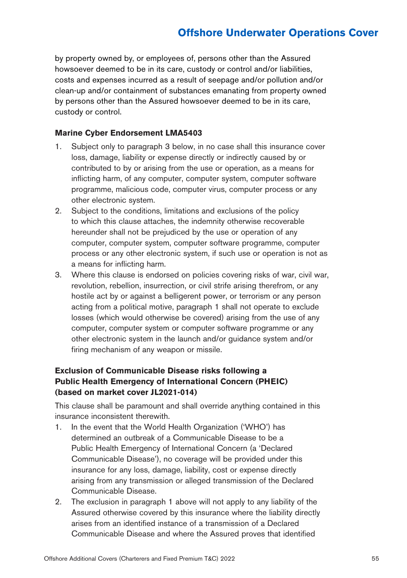by property owned by, or employees of, persons other than the Assured howsoever deemed to be in its care, custody or control and/or liabilities, costs and expenses incurred as a result of seepage and/or pollution and/or clean-up and/or containment of substances emanating from property owned by persons other than the Assured howsoever deemed to be in its care, custody or control.

#### **Marine Cyber Endorsement LMA5403**

- 1. Subject only to paragraph 3 below, in no case shall this insurance cover loss, damage, liability or expense directly or indirectly caused by or contributed to by or arising from the use or operation, as a means for inflicting harm, of any computer, computer system, computer software programme, malicious code, computer virus, computer process or any other electronic system.
- 2. Subject to the conditions, limitations and exclusions of the policy to which this clause attaches, the indemnity otherwise recoverable hereunder shall not be prejudiced by the use or operation of any computer, computer system, computer software programme, computer process or any other electronic system, if such use or operation is not as a means for inflicting harm.
- 3. Where this clause is endorsed on policies covering risks of war, civil war, revolution, rebellion, insurrection, or civil strife arising therefrom, or any hostile act by or against a belligerent power, or terrorism or any person acting from a political motive, paragraph 1 shall not operate to exclude losses (which would otherwise be covered) arising from the use of any computer, computer system or computer software programme or any other electronic system in the launch and/or guidance system and/or firing mechanism of any weapon or missile.

### **Exclusion of Communicable Disease risks following a Public Health Emergency of International Concern (PHEIC) (based on market cover JL2021-014)**

This clause shall be paramount and shall override anything contained in this insurance inconsistent therewith.

- 1. In the event that the World Health Organization ('WHO') has determined an outbreak of a Communicable Disease to be a Public Health Emergency of International Concern (a 'Declared Communicable Disease'), no coverage will be provided under this insurance for any loss, damage, liability, cost or expense directly arising from any transmission or alleged transmission of the Declared Communicable Disease.
- 2. The exclusion in paragraph 1 above will not apply to any liability of the Assured otherwise covered by this insurance where the liability directly arises from an identified instance of a transmission of a Declared Communicable Disease and where the Assured proves that identified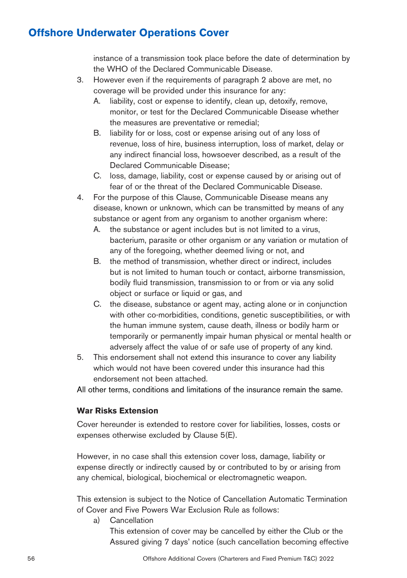instance of a transmission took place before the date of determination by the WHO of the Declared Communicable Disease.

- 3. However even if the requirements of paragraph 2 above are met, no coverage will be provided under this insurance for any:
	- A. liability, cost or expense to identify, clean up, detoxify, remove, monitor, or test for the Declared Communicable Disease whether the measures are preventative or remedial;
	- B. liability for or loss, cost or expense arising out of any loss of revenue, loss of hire, business interruption, loss of market, delay or any indirect financial loss, howsoever described, as a result of the Declared Communicable Disease;
	- C. loss, damage, liability, cost or expense caused by or arising out of fear of or the threat of the Declared Communicable Disease.
- 4. For the purpose of this Clause, Communicable Disease means any disease, known or unknown, which can be transmitted by means of any substance or agent from any organism to another organism where:
	- A. the substance or agent includes but is not limited to a virus, bacterium, parasite or other organism or any variation or mutation of any of the foregoing, whether deemed living or not, and
	- B. the method of transmission, whether direct or indirect, includes but is not limited to human touch or contact, airborne transmission, bodily fluid transmission, transmission to or from or via any solid object or surface or liquid or gas, and
	- C. the disease, substance or agent may, acting alone or in conjunction with other co-morbidities, conditions, genetic susceptibilities, or with the human immune system, cause death, illness or bodily harm or temporarily or permanently impair human physical or mental health or adversely affect the value of or safe use of property of any kind.
- 5. This endorsement shall not extend this insurance to cover any liability which would not have been covered under this insurance had this endorsement not been attached.

All other terms, conditions and limitations of the insurance remain the same.

### **War Risks Extension**

Cover hereunder is extended to restore cover for liabilities, losses, costs or expenses otherwise excluded by Clause 5(E).

However, in no case shall this extension cover loss, damage, liability or expense directly or indirectly caused by or contributed to by or arising from any chemical, biological, biochemical or electromagnetic weapon.

This extension is subject to the Notice of Cancellation Automatic Termination of Cover and Five Powers War Exclusion Rule as follows:

a) Cancellation

This extension of cover may be cancelled by either the Club or the Assured giving 7 days' notice (such cancellation becoming effective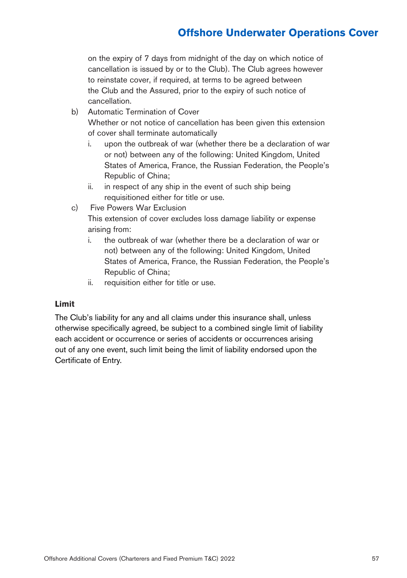on the expiry of 7 days from midnight of the day on which notice of cancellation is issued by or to the Club). The Club agrees however to reinstate cover, if required, at terms to be agreed between the Club and the Assured, prior to the expiry of such notice of cancellation.

- b) Automatic Termination of Cover Whether or not notice of cancellation has been given this extension of cover shall terminate automatically
	- i. upon the outbreak of war (whether there be a declaration of war or not) between any of the following: United Kingdom, United States of America, France, the Russian Federation, the People's Republic of China;
	- ii. in respect of any ship in the event of such ship being requisitioned either for title or use.
- c) Five Powers War Exclusion

This extension of cover excludes loss damage liability or expense arising from:

- i. the outbreak of war (whether there be a declaration of war or not) between any of the following: United Kingdom, United States of America, France, the Russian Federation, the People's Republic of China;
- ii. requisition either for title or use.

### **Limit**

The Club's liability for any and all claims under this insurance shall, unless otherwise specifically agreed, be subject to a combined single limit of liability each accident or occurrence or series of accidents or occurrences arising out of any one event, such limit being the limit of liability endorsed upon the Certificate of Entry.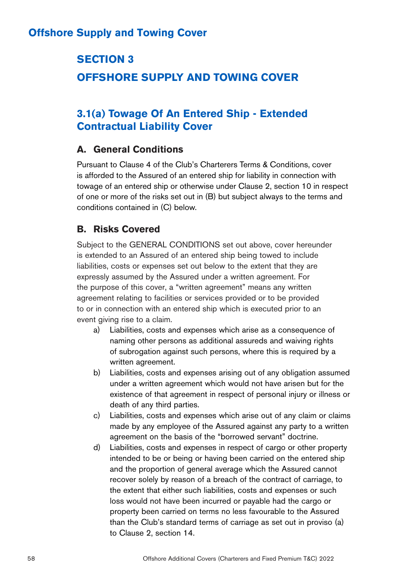# **SECTION 3 OFFSHORE SUPPLY AND TOWING COVER**

# **3.1(a) Towage Of An Entered Ship - Extended Contractual Liability Cover**

## **A. General Conditions**

Pursuant to Clause 4 of the Club's Charterers Terms & Conditions, cover is afforded to the Assured of an entered ship for liability in connection with towage of an entered ship or otherwise under Clause 2, section 10 in respect of one or more of the risks set out in (B) but subject always to the terms and conditions contained in (C) below.

## **B. Risks Covered**

Subject to the GENERAL CONDITIONS set out above, cover hereunder is extended to an Assured of an entered ship being towed to include liabilities, costs or expenses set out below to the extent that they are expressly assumed by the Assured under a written agreement. For the purpose of this cover, a "written agreement" means any written agreement relating to facilities or services provided or to be provided to or in connection with an entered ship which is executed prior to an event giving rise to a claim.

- a) Liabilities, costs and expenses which arise as a consequence of naming other persons as additional assureds and waiving rights of subrogation against such persons, where this is required by a written agreement.
- b) Liabilities, costs and expenses arising out of any obligation assumed under a written agreement which would not have arisen but for the existence of that agreement in respect of personal injury or illness or death of any third parties.
- c) Liabilities, costs and expenses which arise out of any claim or claims made by any employee of the Assured against any party to a written agreement on the basis of the "borrowed servant" doctrine.
- d) Liabilities, costs and expenses in respect of cargo or other property intended to be or being or having been carried on the entered ship and the proportion of general average which the Assured cannot recover solely by reason of a breach of the contract of carriage, to the extent that either such liabilities, costs and expenses or such loss would not have been incurred or payable had the cargo or property been carried on terms no less favourable to the Assured than the Club's standard terms of carriage as set out in proviso (a) to Clause 2, section 14.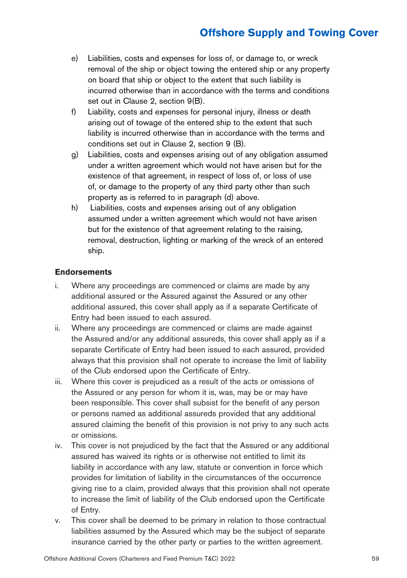- e) Liabilities, costs and expenses for loss of, or damage to, or wreck removal of the ship or object towing the entered ship or any property on board that ship or object to the extent that such liability is incurred otherwise than in accordance with the terms and conditions set out in Clause 2, section 9(B).
- f) Liability, costs and expenses for personal injury, illness or death arising out of towage of the entered ship to the extent that such liability is incurred otherwise than in accordance with the terms and conditions set out in Clause 2, section 9 (B).
- g) Liabilities, costs and expenses arising out of any obligation assumed under a written agreement which would not have arisen but for the existence of that agreement, in respect of loss of, or loss of use of, or damage to the property of any third party other than such property as is referred to in paragraph (d) above.
- h) Liabilities, costs and expenses arising out of any obligation assumed under a written agreement which would not have arisen but for the existence of that agreement relating to the raising, removal, destruction, lighting or marking of the wreck of an entered ship.

### **Endorsements**

- i. Where any proceedings are commenced or claims are made by any additional assured or the Assured against the Assured or any other additional assured, this cover shall apply as if a separate Certificate of Entry had been issued to each assured.
- ii. Where any proceedings are commenced or claims are made against the Assured and/or any additional assureds, this cover shall apply as if a separate Certificate of Entry had been issued to each assured, provided always that this provision shall not operate to increase the limit of liability of the Club endorsed upon the Certificate of Entry.
- iii. Where this cover is prejudiced as a result of the acts or omissions of the Assured or any person for whom it is, was, may be or may have been responsible. This cover shall subsist for the benefit of any person or persons named as additional assureds provided that any additional assured claiming the benefit of this provision is not privy to any such acts or omissions.
- iv. This cover is not prejudiced by the fact that the Assured or any additional assured has waived its rights or is otherwise not entitled to limit its liability in accordance with any law, statute or convention in force which provides for limitation of liability in the circumstances of the occurrence giving rise to a claim, provided always that this provision shall not operate to increase the limit of liability of the Club endorsed upon the Certificate of Entry.
- v. This cover shall be deemed to be primary in relation to those contractual liabilities assumed by the Assured which may be the subject of separate insurance carried by the other party or parties to the written agreement.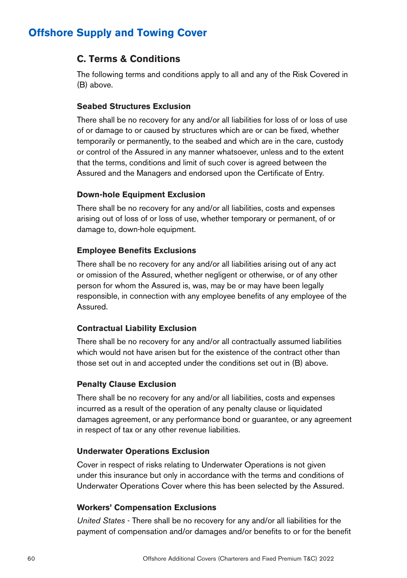## **C. Terms & Conditions**

The following terms and conditions apply to all and any of the Risk Covered in (B) above.

### **Seabed Structures Exclusion**

There shall be no recovery for any and/or all liabilities for loss of or loss of use of or damage to or caused by structures which are or can be fixed, whether temporarily or permanently, to the seabed and which are in the care, custody or control of the Assured in any manner whatsoever, unless and to the extent that the terms, conditions and limit of such cover is agreed between the Assured and the Managers and endorsed upon the Certificate of Entry.

### **Down-hole Equipment Exclusion**

There shall be no recovery for any and/or all liabilities, costs and expenses arising out of loss of or loss of use, whether temporary or permanent, of or damage to, down-hole equipment.

### **Employee Benefits Exclusions**

There shall be no recovery for any and/or all liabilities arising out of any act or omission of the Assured, whether negligent or otherwise, or of any other person for whom the Assured is, was, may be or may have been legally responsible, in connection with any employee benefits of any employee of the Assured.

### **Contractual Liability Exclusion**

There shall be no recovery for any and/or all contractually assumed liabilities which would not have arisen but for the existence of the contract other than those set out in and accepted under the conditions set out in (B) above.

### **Penalty Clause Exclusion**

There shall be no recovery for any and/or all liabilities, costs and expenses incurred as a result of the operation of any penalty clause or liquidated damages agreement, or any performance bond or guarantee, or any agreement in respect of tax or any other revenue liabilities.

### **Underwater Operations Exclusion**

Cover in respect of risks relating to Underwater Operations is not given under this insurance but only in accordance with the terms and conditions of Underwater Operations Cover where this has been selected by the Assured.

### **Workers' Compensation Exclusions**

*United States* - There shall be no recovery for any and/or all liabilities for the payment of compensation and/or damages and/or benefits to or for the benefit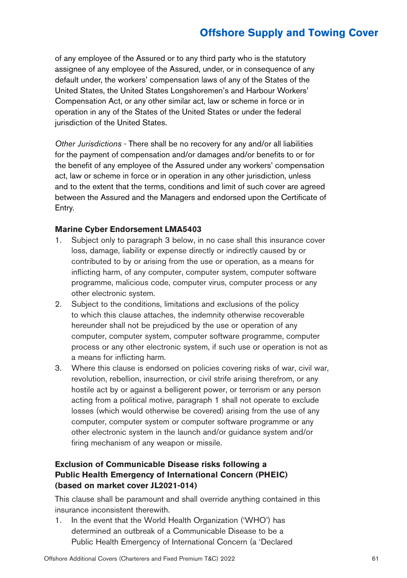of any employee of the Assured or to any third party who is the statutory assignee of any employee of the Assured, under, or in consequence of any default under, the workers' compensation laws of any of the States of the United States, the United States Longshoremen's and Harbour Workers' Compensation Act, or any other similar act, law or scheme in force or in operation in any of the States of the United States or under the federal jurisdiction of the United States.

*Other Jurisdictions* - There shall be no recovery for any and/or all liabilities for the payment of compensation and/or damages and/or benefits to or for the benefit of any employee of the Assured under any workers' compensation act, law or scheme in force or in operation in any other jurisdiction, unless and to the extent that the terms, conditions and limit of such cover are agreed between the Assured and the Managers and endorsed upon the Certificate of Entry.

#### **Marine Cyber Endorsement LMA5403**

- 1. Subject only to paragraph 3 below, in no case shall this insurance cover loss, damage, liability or expense directly or indirectly caused by or contributed to by or arising from the use or operation, as a means for inflicting harm, of any computer, computer system, computer software programme, malicious code, computer virus, computer process or any other electronic system.
- 2. Subject to the conditions, limitations and exclusions of the policy to which this clause attaches, the indemnity otherwise recoverable hereunder shall not be prejudiced by the use or operation of any computer, computer system, computer software programme, computer process or any other electronic system, if such use or operation is not as a means for inflicting harm.
- 3. Where this clause is endorsed on policies covering risks of war, civil war, revolution, rebellion, insurrection, or civil strife arising therefrom, or any hostile act by or against a belligerent power, or terrorism or any person acting from a political motive, paragraph 1 shall not operate to exclude losses (which would otherwise be covered) arising from the use of any computer, computer system or computer software programme or any other electronic system in the launch and/or guidance system and/or firing mechanism of any weapon or missile.

### **Exclusion of Communicable Disease risks following a Public Health Emergency of International Concern (PHEIC) (based on market cover JL2021-014)**

This clause shall be paramount and shall override anything contained in this insurance inconsistent therewith.

1. In the event that the World Health Organization ('WHO') has determined an outbreak of a Communicable Disease to be a Public Health Emergency of International Concern (a 'Declared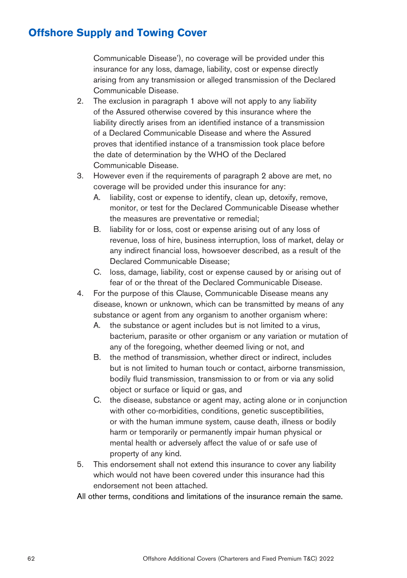Communicable Disease'), no coverage will be provided under this insurance for any loss, damage, liability, cost or expense directly arising from any transmission or alleged transmission of the Declared Communicable Disease.

- 2. The exclusion in paragraph 1 above will not apply to any liability of the Assured otherwise covered by this insurance where the liability directly arises from an identified instance of a transmission of a Declared Communicable Disease and where the Assured proves that identified instance of a transmission took place before the date of determination by the WHO of the Declared Communicable Disease.
- 3. However even if the requirements of paragraph 2 above are met, no coverage will be provided under this insurance for any:
	- A. liability, cost or expense to identify, clean up, detoxify, remove, monitor, or test for the Declared Communicable Disease whether the measures are preventative or remedial;
	- B. liability for or loss, cost or expense arising out of any loss of revenue, loss of hire, business interruption, loss of market, delay or any indirect financial loss, howsoever described, as a result of the Declared Communicable Disease;
	- C. loss, damage, liability, cost or expense caused by or arising out of fear of or the threat of the Declared Communicable Disease.
- 4. For the purpose of this Clause, Communicable Disease means any disease, known or unknown, which can be transmitted by means of any substance or agent from any organism to another organism where:
	- A. the substance or agent includes but is not limited to a virus, bacterium, parasite or other organism or any variation or mutation of any of the foregoing, whether deemed living or not, and
	- B. the method of transmission, whether direct or indirect, includes but is not limited to human touch or contact, airborne transmission, bodily fluid transmission, transmission to or from or via any solid object or surface or liquid or gas, and
	- C. the disease, substance or agent may, acting alone or in conjunction with other co-morbidities, conditions, genetic susceptibilities, or with the human immune system, cause death, illness or bodily harm or temporarily or permanently impair human physical or mental health or adversely affect the value of or safe use of property of any kind.
- 5. This endorsement shall not extend this insurance to cover any liability which would not have been covered under this insurance had this endorsement not been attached.

All other terms, conditions and limitations of the insurance remain the same.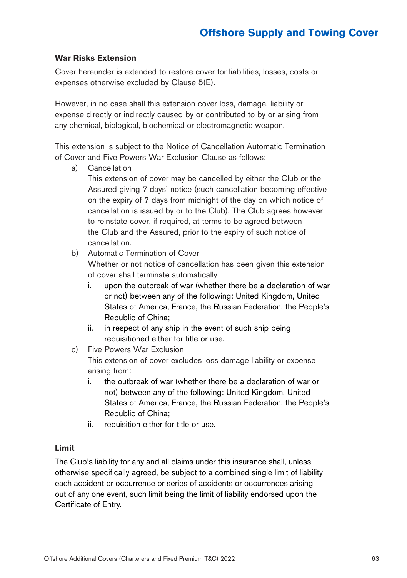#### **War Risks Extension**

Cover hereunder is extended to restore cover for liabilities, losses, costs or expenses otherwise excluded by Clause 5(E).

However, in no case shall this extension cover loss, damage, liability or expense directly or indirectly caused by or contributed to by or arising from any chemical, biological, biochemical or electromagnetic weapon.

This extension is subject to the Notice of Cancellation Automatic Termination of Cover and Five Powers War Exclusion Clause as follows:

a) Cancellation

This extension of cover may be cancelled by either the Club or the Assured giving 7 days' notice (such cancellation becoming effective on the expiry of 7 days from midnight of the day on which notice of cancellation is issued by or to the Club). The Club agrees however to reinstate cover, if required, at terms to be agreed between the Club and the Assured, prior to the expiry of such notice of cancellation.

b) Automatic Termination of Cover

Whether or not notice of cancellation has been given this extension of cover shall terminate automatically

- i. upon the outbreak of war (whether there be a declaration of war or not) between any of the following: United Kingdom, United States of America, France, the Russian Federation, the People's Republic of China;
- ii. in respect of any ship in the event of such ship being requisitioned either for title or use.
- c) Five Powers War Exclusion This extension of cover excludes loss damage liability or expense arising from:
	- i. the outbreak of war (whether there be a declaration of war or not) between any of the following: United Kingdom, United States of America, France, the Russian Federation, the People's Republic of China;
	- ii. requisition either for title or use.

#### **Limit**

The Club's liability for any and all claims under this insurance shall, unless otherwise specifically agreed, be subject to a combined single limit of liability each accident or occurrence or series of accidents or occurrences arising out of any one event, such limit being the limit of liability endorsed upon the Certificate of Entry.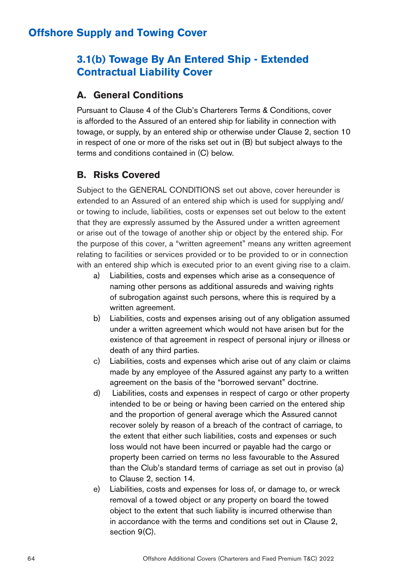## **3.1(b) Towage By An Entered Ship - Extended Contractual Liability Cover**

### **A. General Conditions**

Pursuant to Clause 4 of the Club's Charterers Terms & Conditions, cover is afforded to the Assured of an entered ship for liability in connection with towage, or supply, by an entered ship or otherwise under Clause 2, section 10 in respect of one or more of the risks set out in (B) but subject always to the terms and conditions contained in (C) below.

## **B. Risks Covered**

Subject to the GENERAL CONDITIONS set out above, cover hereunder is extended to an Assured of an entered ship which is used for supplying and/ or towing to include, liabilities, costs or expenses set out below to the extent that they are expressly assumed by the Assured under a written agreement or arise out of the towage of another ship or object by the entered ship. For the purpose of this cover, a "written agreement" means any written agreement relating to facilities or services provided or to be provided to or in connection with an entered ship which is executed prior to an event giving rise to a claim.

- a) Liabilities, costs and expenses which arise as a consequence of naming other persons as additional assureds and waiving rights of subrogation against such persons, where this is required by a written agreement.
- b) Liabilities, costs and expenses arising out of any obligation assumed under a written agreement which would not have arisen but for the existence of that agreement in respect of personal injury or illness or death of any third parties.
- c) Liabilities, costs and expenses which arise out of any claim or claims made by any employee of the Assured against any party to a written agreement on the basis of the "borrowed servant" doctrine.
- d) Liabilities, costs and expenses in respect of cargo or other property intended to be or being or having been carried on the entered ship and the proportion of general average which the Assured cannot recover solely by reason of a breach of the contract of carriage, to the extent that either such liabilities, costs and expenses or such loss would not have been incurred or payable had the cargo or property been carried on terms no less favourable to the Assured than the Club's standard terms of carriage as set out in proviso (a) to Clause 2, section 14.
- e) Liabilities, costs and expenses for loss of, or damage to, or wreck removal of a towed object or any property on board the towed object to the extent that such liability is incurred otherwise than in accordance with the terms and conditions set out in Clause 2, section 9(C).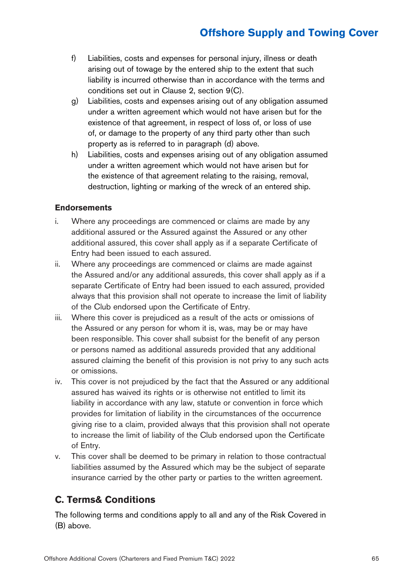- f) Liabilities, costs and expenses for personal injury, illness or death arising out of towage by the entered ship to the extent that such liability is incurred otherwise than in accordance with the terms and conditions set out in Clause 2, section 9(C).
- g) Liabilities, costs and expenses arising out of any obligation assumed under a written agreement which would not have arisen but for the existence of that agreement, in respect of loss of, or loss of use of, or damage to the property of any third party other than such property as is referred to in paragraph (d) above.
- h) Liabilities, costs and expenses arising out of any obligation assumed under a written agreement which would not have arisen but for the existence of that agreement relating to the raising, removal, destruction, lighting or marking of the wreck of an entered ship.

#### **Endorsements**

- i. Where any proceedings are commenced or claims are made by any additional assured or the Assured against the Assured or any other additional assured, this cover shall apply as if a separate Certificate of Entry had been issued to each assured.
- ii. Where any proceedings are commenced or claims are made against the Assured and/or any additional assureds, this cover shall apply as if a separate Certificate of Entry had been issued to each assured, provided always that this provision shall not operate to increase the limit of liability of the Club endorsed upon the Certificate of Entry.
- iii. Where this cover is prejudiced as a result of the acts or omissions of the Assured or any person for whom it is, was, may be or may have been responsible. This cover shall subsist for the benefit of any person or persons named as additional assureds provided that any additional assured claiming the benefit of this provision is not privy to any such acts or omissions.
- iv. This cover is not prejudiced by the fact that the Assured or any additional assured has waived its rights or is otherwise not entitled to limit its liability in accordance with any law, statute or convention in force which provides for limitation of liability in the circumstances of the occurrence giving rise to a claim, provided always that this provision shall not operate to increase the limit of liability of the Club endorsed upon the Certificate of Entry.
- v. This cover shall be deemed to be primary in relation to those contractual liabilities assumed by the Assured which may be the subject of separate insurance carried by the other party or parties to the written agreement.

## **C. Terms& Conditions**

The following terms and conditions apply to all and any of the Risk Covered in (B) above.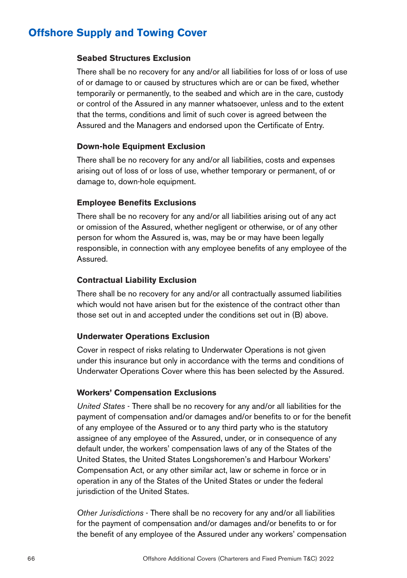#### **Seabed Structures Exclusion**

There shall be no recovery for any and/or all liabilities for loss of or loss of use of or damage to or caused by structures which are or can be fixed, whether temporarily or permanently, to the seabed and which are in the care, custody or control of the Assured in any manner whatsoever, unless and to the extent that the terms, conditions and limit of such cover is agreed between the Assured and the Managers and endorsed upon the Certificate of Entry.

#### **Down-hole Equipment Exclusion**

There shall be no recovery for any and/or all liabilities, costs and expenses arising out of loss of or loss of use, whether temporary or permanent, of or damage to, down-hole equipment.

### **Employee Benefits Exclusions**

There shall be no recovery for any and/or all liabilities arising out of any act or omission of the Assured, whether negligent or otherwise, or of any other person for whom the Assured is, was, may be or may have been legally responsible, in connection with any employee benefits of any employee of the Assured.

#### **Contractual Liability Exclusion**

There shall be no recovery for any and/or all contractually assumed liabilities which would not have arisen but for the existence of the contract other than those set out in and accepted under the conditions set out in (B) above.

#### **Underwater Operations Exclusion**

Cover in respect of risks relating to Underwater Operations is not given under this insurance but only in accordance with the terms and conditions of Underwater Operations Cover where this has been selected by the Assured.

#### **Workers' Compensation Exclusions**

*United States* - There shall be no recovery for any and/or all liabilities for the payment of compensation and/or damages and/or benefits to or for the benefit of any employee of the Assured or to any third party who is the statutory assignee of any employee of the Assured, under, or in consequence of any default under, the workers' compensation laws of any of the States of the United States, the United States Longshoremen's and Harbour Workers' Compensation Act, or any other similar act, law or scheme in force or in operation in any of the States of the United States or under the federal jurisdiction of the United States.

*Other Jurisdictions* - There shall be no recovery for any and/or all liabilities for the payment of compensation and/or damages and/or benefits to or for the benefit of any employee of the Assured under any workers' compensation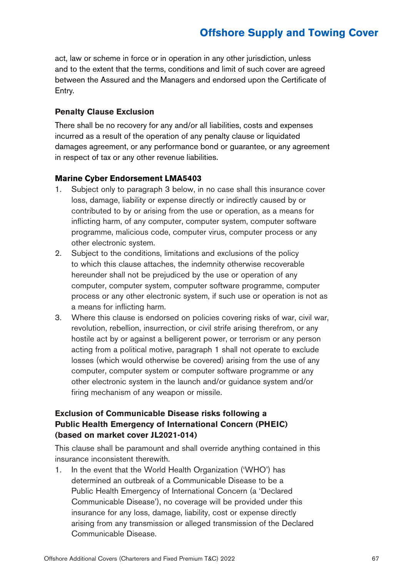act, law or scheme in force or in operation in any other jurisdiction, unless and to the extent that the terms, conditions and limit of such cover are agreed between the Assured and the Managers and endorsed upon the Certificate of Entry.

#### **Penalty Clause Exclusion**

There shall be no recovery for any and/or all liabilities, costs and expenses incurred as a result of the operation of any penalty clause or liquidated damages agreement, or any performance bond or guarantee, or any agreement in respect of tax or any other revenue liabilities.

#### **Marine Cyber Endorsement LMA5403**

- 1. Subject only to paragraph 3 below, in no case shall this insurance cover loss, damage, liability or expense directly or indirectly caused by or contributed to by or arising from the use or operation, as a means for inflicting harm, of any computer, computer system, computer software programme, malicious code, computer virus, computer process or any other electronic system.
- 2. Subject to the conditions, limitations and exclusions of the policy to which this clause attaches, the indemnity otherwise recoverable hereunder shall not be prejudiced by the use or operation of any computer, computer system, computer software programme, computer process or any other electronic system, if such use or operation is not as a means for inflicting harm.
- 3. Where this clause is endorsed on policies covering risks of war, civil war, revolution, rebellion, insurrection, or civil strife arising therefrom, or any hostile act by or against a belligerent power, or terrorism or any person acting from a political motive, paragraph 1 shall not operate to exclude losses (which would otherwise be covered) arising from the use of any computer, computer system or computer software programme or any other electronic system in the launch and/or guidance system and/or firing mechanism of any weapon or missile.

### **Exclusion of Communicable Disease risks following a Public Health Emergency of International Concern (PHEIC) (based on market cover JL2021-014)**

This clause shall be paramount and shall override anything contained in this insurance inconsistent therewith.

1. In the event that the World Health Organization ('WHO') has determined an outbreak of a Communicable Disease to be a Public Health Emergency of International Concern (a 'Declared Communicable Disease'), no coverage will be provided under this insurance for any loss, damage, liability, cost or expense directly arising from any transmission or alleged transmission of the Declared Communicable Disease.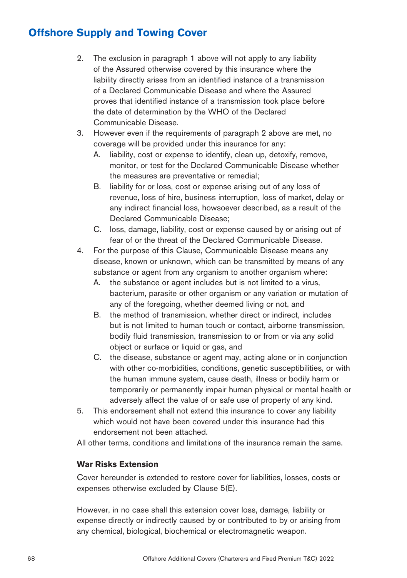- 2. The exclusion in paragraph 1 above will not apply to any liability of the Assured otherwise covered by this insurance where the liability directly arises from an identified instance of a transmission of a Declared Communicable Disease and where the Assured proves that identified instance of a transmission took place before the date of determination by the WHO of the Declared Communicable Disease.
- 3. However even if the requirements of paragraph 2 above are met, no coverage will be provided under this insurance for any:
	- A. liability, cost or expense to identify, clean up, detoxify, remove, monitor, or test for the Declared Communicable Disease whether the measures are preventative or remedial;
	- B. liability for or loss, cost or expense arising out of any loss of revenue, loss of hire, business interruption, loss of market, delay or any indirect financial loss, howsoever described, as a result of the Declared Communicable Disease;
	- C. loss, damage, liability, cost or expense caused by or arising out of fear of or the threat of the Declared Communicable Disease.
- 4. For the purpose of this Clause, Communicable Disease means any disease, known or unknown, which can be transmitted by means of any substance or agent from any organism to another organism where:
	- A. the substance or agent includes but is not limited to a virus, bacterium, parasite or other organism or any variation or mutation of any of the foregoing, whether deemed living or not, and
	- B. the method of transmission, whether direct or indirect, includes but is not limited to human touch or contact, airborne transmission, bodily fluid transmission, transmission to or from or via any solid object or surface or liquid or gas, and
	- C. the disease, substance or agent may, acting alone or in conjunction with other co-morbidities, conditions, genetic susceptibilities, or with the human immune system, cause death, illness or bodily harm or temporarily or permanently impair human physical or mental health or adversely affect the value of or safe use of property of any kind.
- 5. This endorsement shall not extend this insurance to cover any liability which would not have been covered under this insurance had this endorsement not been attached.

All other terms, conditions and limitations of the insurance remain the same.

### **War Risks Extension**

Cover hereunder is extended to restore cover for liabilities, losses, costs or expenses otherwise excluded by Clause 5(E).

However, in no case shall this extension cover loss, damage, liability or expense directly or indirectly caused by or contributed to by or arising from any chemical, biological, biochemical or electromagnetic weapon.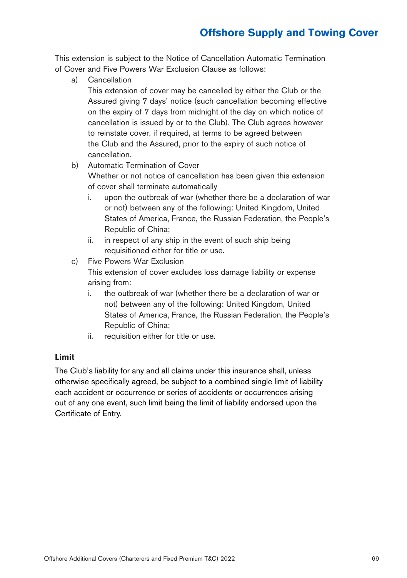This extension is subject to the Notice of Cancellation Automatic Termination of Cover and Five Powers War Exclusion Clause as follows:

a) Cancellation

This extension of cover may be cancelled by either the Club or the Assured giving 7 days' notice (such cancellation becoming effective on the expiry of 7 days from midnight of the day on which notice of cancellation is issued by or to the Club). The Club agrees however to reinstate cover, if required, at terms to be agreed between the Club and the Assured, prior to the expiry of such notice of cancellation.

b) Automatic Termination of Cover

Whether or not notice of cancellation has been given this extension of cover shall terminate automatically

- i. upon the outbreak of war (whether there be a declaration of war or not) between any of the following: United Kingdom, United States of America, France, the Russian Federation, the People's Republic of China;
- ii. in respect of any ship in the event of such ship being requisitioned either for title or use.
- c) Five Powers War Exclusion

This extension of cover excludes loss damage liability or expense arising from:

- i. the outbreak of war (whether there be a declaration of war or not) between any of the following: United Kingdom, United States of America, France, the Russian Federation, the People's Republic of China;
- ii. requisition either for title or use.

### **Limit**

The Club's liability for any and all claims under this insurance shall, unless otherwise specifically agreed, be subject to a combined single limit of liability each accident or occurrence or series of accidents or occurrences arising out of any one event, such limit being the limit of liability endorsed upon the Certificate of Entry.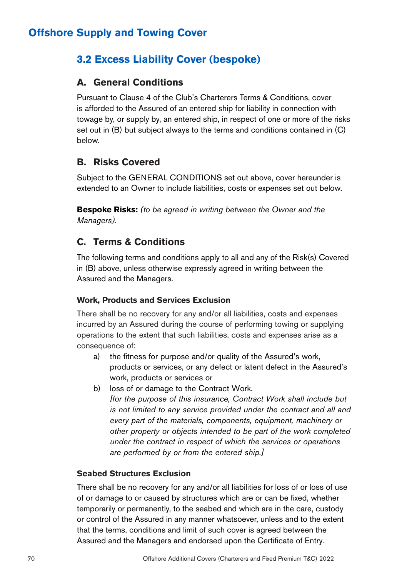# **3.2 Excess Liability Cover (bespoke)**

### **A. General Conditions**

Pursuant to Clause 4 of the Club's Charterers Terms & Conditions, cover is afforded to the Assured of an entered ship for liability in connection with towage by, or supply by, an entered ship, in respect of one or more of the risks set out in (B) but subject always to the terms and conditions contained in (C) below.

## **B. Risks Covered**

Subject to the GENERAL CONDITIONS set out above, cover hereunder is extended to an Owner to include liabilities, costs or expenses set out below.

**Bespoke Risks:** *(to be agreed in writing between the Owner and the Managers).*

## **C. Terms & Conditions**

The following terms and conditions apply to all and any of the Risk(s) Covered in (B) above, unless otherwise expressly agreed in writing between the Assured and the Managers.

### **Work, Products and Services Exclusion**

There shall be no recovery for any and/or all liabilities, costs and expenses incurred by an Assured during the course of performing towing or supplying operations to the extent that such liabilities, costs and expenses arise as a consequence of:

- a) the fitness for purpose and/or quality of the Assured's work, products or services, or any defect or latent defect in the Assured's work, products or services or
- b) loss of or damage to the Contract Work.

*[for the purpose of this insurance, Contract Work shall include but is not limited to any service provided under the contract and all and every part of the materials, components, equipment, machinery or other property or objects intended to be part of the work completed under the contract in respect of which the services or operations are performed by or from the entered ship.]*

### **Seabed Structures Exclusion**

There shall be no recovery for any and/or all liabilities for loss of or loss of use of or damage to or caused by structures which are or can be fixed, whether temporarily or permanently, to the seabed and which are in the care, custody or control of the Assured in any manner whatsoever, unless and to the extent that the terms, conditions and limit of such cover is agreed between the Assured and the Managers and endorsed upon the Certificate of Entry.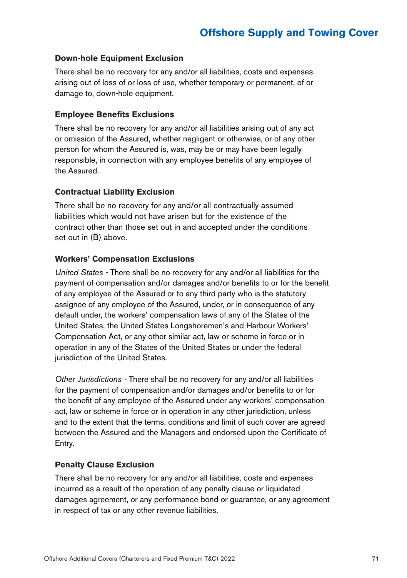### **Down-hole Equipment Exclusion**

There shall be no recovery for any and/or all liabilities, costs and expenses arising out of loss of or loss of use, whether temporary or permanent, of or damage to, down-hole equipment.

#### **Employee Benefits Exclusions**

There shall be no recovery for any and/or all liabilities arising out of any act or omission of the Assured, whether negligent or otherwise, or of any other person for whom the Assured is, was, may be or may have been legally responsible, in connection with any employee benefits of any employee of the Assured.

#### **Contractual Liability Exclusion**

There shall be no recovery for any and/or all contractually assumed liabilities which would not have arisen but for the existence of the contract other than those set out in and accepted under the conditions set out in (B) above.

#### **Workers' Compensation Exclusions**

*United States -* There shall be no recovery for any and/or all liabilities for the payment of compensation and/or damages and/or benefits to or for the benefit of any employee of the Assured or to any third party who is the statutory assignee of any employee of the Assured, under, or in consequence of any default under, the workers' compensation laws of any of the States of the United States, the United States Longshoremen's and Harbour Workers' Compensation Act, or any other similar act, law or scheme in force or in operation in any of the States of the United States or under the federal jurisdiction of the United States.

*Other Jurisdictions -* There shall be no recovery for any and/or all liabilities for the payment of compensation and/or damages and/or benefits to or for the benefit of any employee of the Assured under any workers' compensation act, law or scheme in force or in operation in any other jurisdiction, unless and to the extent that the terms, conditions and limit of such cover are agreed between the Assured and the Managers and endorsed upon the Certificate of Entry.

### **Penalty Clause Exclusion**

There shall be no recovery for any and/or all liabilities, costs and expenses incurred as a result of the operation of any penalty clause or liquidated damages agreement, or any performance bond or guarantee, or any agreement in respect of tax or any other revenue liabilities.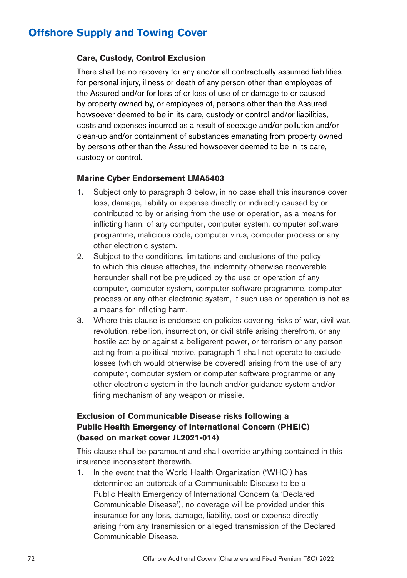#### **Care, Custody, Control Exclusion**

There shall be no recovery for any and/or all contractually assumed liabilities for personal injury, illness or death of any person other than employees of the Assured and/or for loss of or loss of use of or damage to or caused by property owned by, or employees of, persons other than the Assured howsoever deemed to be in its care, custody or control and/or liabilities, costs and expenses incurred as a result of seepage and/or pollution and/or clean-up and/or containment of substances emanating from property owned by persons other than the Assured howsoever deemed to be in its care, custody or control.

#### **Marine Cyber Endorsement LMA5403**

- 1. Subject only to paragraph 3 below, in no case shall this insurance cover loss, damage, liability or expense directly or indirectly caused by or contributed to by or arising from the use or operation, as a means for inflicting harm, of any computer, computer system, computer software programme, malicious code, computer virus, computer process or any other electronic system.
- 2. Subject to the conditions, limitations and exclusions of the policy to which this clause attaches, the indemnity otherwise recoverable hereunder shall not be prejudiced by the use or operation of any computer, computer system, computer software programme, computer process or any other electronic system, if such use or operation is not as a means for inflicting harm.
- 3. Where this clause is endorsed on policies covering risks of war, civil war, revolution, rebellion, insurrection, or civil strife arising therefrom, or any hostile act by or against a belligerent power, or terrorism or any person acting from a political motive, paragraph 1 shall not operate to exclude losses (which would otherwise be covered) arising from the use of any computer, computer system or computer software programme or any other electronic system in the launch and/or guidance system and/or firing mechanism of any weapon or missile.

### **Exclusion of Communicable Disease risks following a Public Health Emergency of International Concern (PHEIC) (based on market cover JL2021-014)**

This clause shall be paramount and shall override anything contained in this insurance inconsistent therewith.

1. In the event that the World Health Organization ('WHO') has determined an outbreak of a Communicable Disease to be a Public Health Emergency of International Concern (a 'Declared Communicable Disease'), no coverage will be provided under this insurance for any loss, damage, liability, cost or expense directly arising from any transmission or alleged transmission of the Declared Communicable Disease.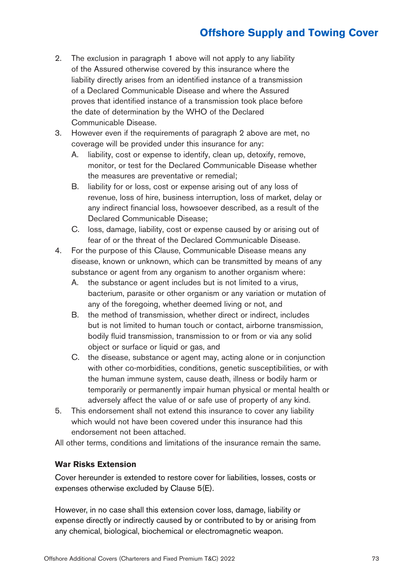# **Offshore Supply and Towing Cover**

- 2. The exclusion in paragraph 1 above will not apply to any liability of the Assured otherwise covered by this insurance where the liability directly arises from an identified instance of a transmission of a Declared Communicable Disease and where the Assured proves that identified instance of a transmission took place before the date of determination by the WHO of the Declared Communicable Disease.
- 3. However even if the requirements of paragraph 2 above are met, no coverage will be provided under this insurance for any:
	- A. liability, cost or expense to identify, clean up, detoxify, remove, monitor, or test for the Declared Communicable Disease whether the measures are preventative or remedial;
	- B. liability for or loss, cost or expense arising out of any loss of revenue, loss of hire, business interruption, loss of market, delay or any indirect financial loss, howsoever described, as a result of the Declared Communicable Disease;
	- C. loss, damage, liability, cost or expense caused by or arising out of fear of or the threat of the Declared Communicable Disease.
- 4. For the purpose of this Clause, Communicable Disease means any disease, known or unknown, which can be transmitted by means of any substance or agent from any organism to another organism where:
	- A. the substance or agent includes but is not limited to a virus, bacterium, parasite or other organism or any variation or mutation of any of the foregoing, whether deemed living or not, and
	- B. the method of transmission, whether direct or indirect, includes but is not limited to human touch or contact, airborne transmission, bodily fluid transmission, transmission to or from or via any solid object or surface or liquid or gas, and
	- C. the disease, substance or agent may, acting alone or in conjunction with other co-morbidities, conditions, genetic susceptibilities, or with the human immune system, cause death, illness or bodily harm or temporarily or permanently impair human physical or mental health or adversely affect the value of or safe use of property of any kind.
- 5. This endorsement shall not extend this insurance to cover any liability which would not have been covered under this insurance had this endorsement not been attached.

All other terms, conditions and limitations of the insurance remain the same.

#### **War Risks Extension**

Cover hereunder is extended to restore cover for liabilities, losses, costs or expenses otherwise excluded by Clause 5(E).

However, in no case shall this extension cover loss, damage, liability or expense directly or indirectly caused by or contributed to by or arising from any chemical, biological, biochemical or electromagnetic weapon.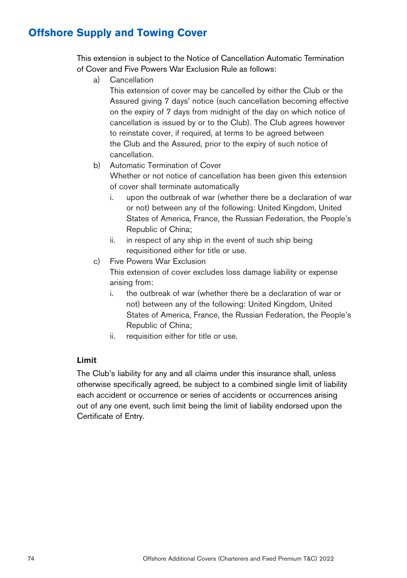# **Offshore Supply and Towing Cover**

This extension is subject to the Notice of Cancellation Automatic Termination of Cover and Five Powers War Exclusion Rule as follows:

a) Cancellation

This extension of cover may be cancelled by either the Club or the Assured giving 7 days' notice (such cancellation becoming effective on the expiry of 7 days from midnight of the day on which notice of cancellation is issued by or to the Club). The Club agrees however to reinstate cover, if required, at terms to be agreed between the Club and the Assured, prior to the expiry of such notice of cancellation.

- b) Automatic Termination of Cover Whether or not notice of cancellation has been given this extension of cover shall terminate automatically
	- i. upon the outbreak of war (whether there be a declaration of war or not) between any of the following: United Kingdom, United States of America, France, the Russian Federation, the People's Republic of China;
	- ii. in respect of any ship in the event of such ship being requisitioned either for title or use.
- c) Five Powers War Exclusion

This extension of cover excludes loss damage liability or expense arising from:

- i. the outbreak of war (whether there be a declaration of war or not) between any of the following: United Kingdom, United States of America, France, the Russian Federation, the People's Republic of China;
- ii. requisition either for title or use.

#### **Limit**

The Club's liability for any and all claims under this insurance shall, unless otherwise specifically agreed, be subject to a combined single limit of liability each accident or occurrence or series of accidents or occurrences arising out of any one event, such limit being the limit of liability endorsed upon the Certificate of Entry.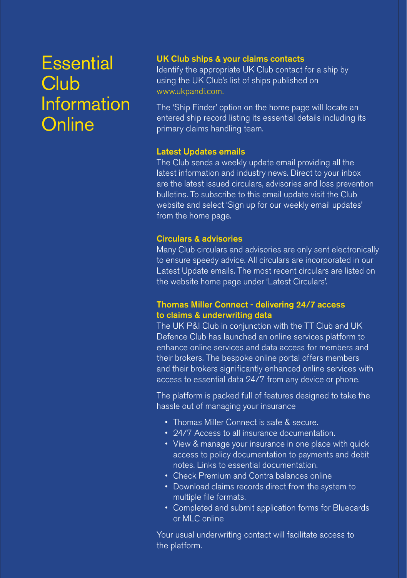# **Essential Club Information Online**

## UK Club ships & your claims contacts

Identify the appropriate UK Club contact for a ship by using the UK Club's list of ships published on www.ukpandi.com.

The 'Ship Finder' option on the home page will locate an entered ship record listing its essential details including its primary claims handling team.

#### Latest Updates emails

The Club sends a weekly update email providing all the latest information and industry news. Direct to your inbox are the latest issued circulars, advisories and loss prevention bulletins. To subscribe to this email update visit the Club website and select 'Sign up for our weekly email updates' from the home page.

#### Circulars & advisories

Many Club circulars and advisories are only sent electronically to ensure speedy advice. All circulars are incorporated in our Latest Update emails. The most recent circulars are listed on the website home page under 'Latest Circulars'.

#### Thomas Miller Connect - delivering 24/7 access to claims & underwriting data

The UK P&I Club in conjunction with the TT Club and UK Defence Club has launched an online services platform to enhance online services and data access for members and their brokers. The bespoke online portal offers members and their brokers significantly enhanced online services with access to essential data 24/7 from any device or phone.

The platform is packed full of features designed to take the hassle out of managing your insurance

- Thomas Miller Connect is safe & secure.
- 24/7 Access to all insurance documentation.
- View & manage your insurance in one place with quick access to policy documentation to payments and debit notes. Links to essential documentation.
- Check Premium and Contra balances online
- Download claims records direct from the system to multiple file formats.
- Completed and submit application forms for Bluecards or MLC online

Your usual underwriting contact will facilitate access to the platform.